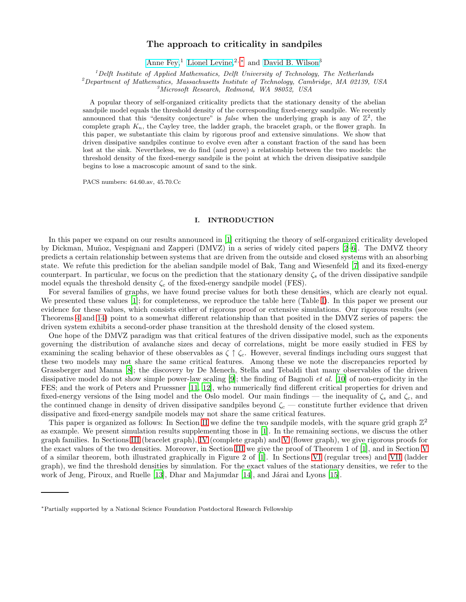### The approach to criticality in sandpiles

[Anne Fey,](http://dutiosc.twi.tudelft.nl/~anne/)<sup>1</sup> [Lionel Levine,](http://math.mit.edu/~levine)<sup>2, \*</sup> and [David B. Wilson](http://dbwilson.com)<sup>3</sup>

 ${}^{1}$ Delft Institute of Applied Mathematics, Delft University of Technology, The Netherlands

 $^{2}$ Department of Mathematics, Massachusetts Institute of Technology, Cambridge, MA 02139, USA

<sup>3</sup>Microsoft Research, Redmond, WA 98052, USA

A popular theory of self-organized criticality predicts that the stationary density of the abelian sandpile model equals the threshold density of the corresponding fixed-energy sandpile. We recently announced that this "density conjecture" is *false* when the underlying graph is any of  $\mathbb{Z}^2$ , the complete graph  $K_n$ , the Cayley tree, the ladder graph, the bracelet graph, or the flower graph. In this paper, we substantiate this claim by rigorous proof and extensive simulations. We show that driven dissipative sandpiles continue to evolve even after a constant fraction of the sand has been lost at the sink. Nevertheless, we do find (and prove) a relationship between the two models: the threshold density of the fixed-energy sandpile is the point at which the driven dissipative sandpile begins to lose a macroscopic amount of sand to the sink.

PACS numbers: 64.60.av, 45.70.Cc

#### I. INTRODUCTION

In this paper we expand on our results announced in [\[1\]](#page-19-0) critiquing the theory of self-organized criticality developed by Dickman, Muñoz, Vespignani and Zapperi (DMVZ) in a series of widely cited papers [\[2](#page-19-1)[–6](#page-19-2)]. The DMVZ theory predicts a certain relationship between systems that are driven from the outside and closed systems with an absorbing state. We refute this prediction for the abelian sandpile model of Bak, Tang and Wiesenfeld [\[7\]](#page-19-3) and its fixed-energy counterpart. In particular, we focus on the prediction that the stationary density  $\zeta_s$  of the driven dissipative sandpile model equals the threshold density  $\zeta_c$  of the fixed-energy sandpile model (FES).

For several families of graphs, we have found precise values for both these densities, which are clearly not equal. We presented these values [\[1](#page-19-0)]; for completeness, we reproduce the table here (Table [I\)](#page-1-0). In this paper we present our evidence for these values, which consists either of rigorous proof or extensive simulations. Our rigorous results (see Theorems [4](#page-5-0) and [14\)](#page-13-0) point to a somewhat different relationship than that posited in the DMVZ series of papers: the driven system exhibits a second-order phase transition at the threshold density of the closed system.

One hope of the DMVZ paradigm was that critical features of the driven dissipative model, such as the exponents governing the distribution of avalanche sizes and decay of correlations, might be more easily studied in FES by examining the scaling behavior of these observables as  $\zeta \uparrow \zeta_c$ . However, several findings including ours suggest that these two models may not share the same critical features. Among these we note the discrepancies reported by Grassberger and Manna [\[8\]](#page-19-4); the discovery by De Menech, Stella and Tebaldi that many observables of the driven dissipative model do not show simple power-law scaling [\[9\]](#page-19-5); the finding of Bagnoli *et al.* [\[10](#page-19-6)] of non-ergodicity in the FES; and the work of Peters and Pruessner [\[11](#page-19-7), [12](#page-19-8)], who numerically find different critical properties for driven and fixed-energy versions of the Ising model and the Oslo model. Our main findings — the inequality of  $\zeta_s$  and  $\zeta_c$ , and the continued change in density of driven dissipative sandpiles beyond  $\zeta_c$  — constitute further evidence that driven dissipative and fixed-energy sandpile models may not share the same critical features.

This paper is organized as follows: In Section [II](#page-1-1) we define the two sandpile models, with the square grid graph  $\mathbb{Z}^2$ as example. We present simulation results supplementing those in [\[1](#page-19-0)]. In the remaining sections, we discuss the other graph families. In Sections [III](#page-4-0) (bracelet graph), [IV](#page-8-0) (complete graph) and [V](#page-9-0) (flower graph), we give rigorous proofs for the exact values of the two densities. Moreover, in Section [III](#page-4-0) we give the proof of Theorem 1 of [\[1\]](#page-19-0), and in Section [V](#page-9-0) of a similar theorem, both illustrated graphically in Figure 2 of [\[1\]](#page-19-0). In Sections [VI](#page-14-0) (regular trees) and [VII](#page-17-0) (ladder graph), we find the threshold densities by simulation. For the exact values of the stationary densities, we refer to the work of Jeng, Piroux, and Ruelle  $[13]$ , Dhar and Majumdar  $[14]$ , and Járai and Lyons  $[15]$ .

<span id="page-0-0"></span><sup>∗</sup>Partially supported by a National Science Foundation Postdoctoral Research Fellowship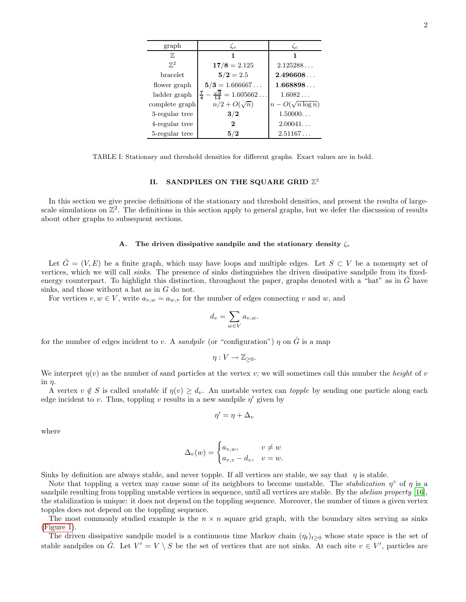<span id="page-1-0"></span>

| graph          | $\zeta_s$                                      | $\zeta_c$                |
|----------------|------------------------------------------------|--------------------------|
| 77,            |                                                |                          |
| $\mathbb{Z}^2$ | $17/8 = 2.125$                                 | 2.125288                 |
| bracelet       | $\mathbf{5}/\mathbf{2} = 2.5$                  | 2.496608                 |
| flower graph   | $5/3 = 1.666667$                               | 1.668898                 |
| ladder graph   | $\frac{7}{4} - \frac{\sqrt{3}}{12} = 1.605662$ | $1.6082\ldots$           |
| complete graph | $n/2+O(\sqrt{n})$                              | $n - O(\sqrt{n \log n})$ |
| 3-regular tree | 3/2                                            | 1.50000                  |
| 4-regular tree | 2                                              | 2.00041                  |
| 5-regular tree | 5/2                                            | 2.51167                  |

TABLE I: Stationary and threshold densities for different graphs. Exact values are in bold.

# <span id="page-1-1"></span>II. SANDPILES ON THE SQUARE GRID  $\mathbb{Z}^2$

In this section we give precise definitions of the stationary and threshold densities, and present the results of largescale simulations on  $\mathbb{Z}^2$ . The definitions in this section apply to general graphs, but we defer the discussion of results about other graphs to subsequent sections.

#### A. The driven dissipative sandpile and the stationary density  $\zeta_s$

Let  $\hat{G} = (V, E)$  be a finite graph, which may have loops and multiple edges. Let  $S \subset V$  be a nonempty set of vertices, which we will call sinks. The presence of sinks distinguishes the driven dissipative sandpile from its fixedenergy counterpart. To highlight this distinction, throughout the paper, graphs denoted with a "hat" as in  $\tilde{G}$  have sinks, and those without a hat as in G do not.

For vertices  $v, w \in V$ , write  $a_{v,w} = a_{w,v}$  for the number of edges connecting v and w, and

$$
d_v = \sum_{w \in V} a_{v,w}.
$$

for the number of edges incident to v. A sandpile (or "configuration")  $\eta$  on  $\hat{G}$  is a map

$$
\eta:V\to \mathbb{Z}_{\geq 0}.
$$

We interpret  $\eta(v)$  as the number of sand particles at the vertex v; we will sometimes call this number the *height* of v in  $\eta$ .

A vertex  $v \notin S$  is called unstable if  $\eta(v) \geq d_v$ . An unstable vertex can topple by sending one particle along each edge incident to v. Thus, toppling v results in a new sandpile  $\eta'$  given by

$$
\eta' = \eta + \Delta_v
$$

where

$$
\Delta_v(w) = \begin{cases} a_{v,w}, & v \neq w \\ a_{v,v} - d_v, & v = w. \end{cases}
$$

Sinks by definition are always stable, and never topple. If all vertices are stable, we say that  $\eta$  is stable.

Note that toppling a vertex may cause some of its neighbors to become unstable. The *stabilization*  $\eta^{\circ}$  of  $\eta$  is a sandpile resulting from toppling unstable vertices in sequence, until all vertices are stable. By the abelian property [\[16\]](#page-19-12), the stabilization is unique: it does not depend on the toppling sequence. Moreover, the number of times a given vertex topples does not depend on the toppling sequence.

The most commonly studied example is the  $n \times n$  square grid graph, with the boundary sites serving as sinks [\(Figure 1\)](#page-2-0).

The driven dissipative sandpile model is a continuous time Markov chain  $(\eta_t)_{t>0}$  whose state space is the set of stable sandpiles on  $\hat{G}$ . Let  $V' = V \setminus S$  be the set of vertices that are not sinks. At each site  $v \in V'$ , particles are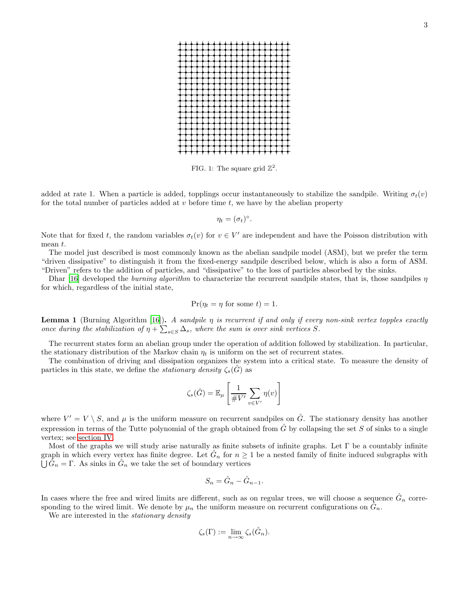<span id="page-2-0"></span>

FIG. 1: The square grid  $\mathbb{Z}^2$ .

added at rate 1. When a particle is added, topplings occur instantaneously to stabilize the sandpile. Writing  $\sigma_t(v)$ for the total number of particles added at  $v$  before time  $t$ , we have by the abelian property

$$
\eta_t = (\sigma_t)^{\circ}.
$$

Note that for fixed t, the random variables  $\sigma_t(v)$  for  $v \in V'$  are independent and have the Poisson distribution with mean t.

The model just described is most commonly known as the abelian sandpile model (ASM), but we prefer the term "driven dissipative" to distinguish it from the fixed-energy sandpile described below, which is also a form of ASM. "Driven" refers to the addition of particles, and "dissipative" to the loss of particles absorbed by the sinks.

Dhar [\[16](#page-19-12)] developed the *burning algorithm* to characterize the recurrent sandpile states, that is, those sandpiles  $\eta$ for which, regardless of the initial state,

$$
Pr(\eta_t = \eta \text{ for some } t) = 1.
$$

**Lemma 1** (Burning Algorithm [\[16\]](#page-19-12)). A sandpile  $\eta$  is recurrent if and only if every non-sink vertex topples exactly once during the stabilization of  $\eta + \sum_{s \in S} \Delta_s$ , where the sum is over sink vertices S.

The recurrent states form an abelian group under the operation of addition followed by stabilization. In particular, the stationary distribution of the Markov chain  $\eta_t$  is uniform on the set of recurrent states.

The combination of driving and dissipation organizes the system into a critical state. To measure the density of particles in this state, we define the *stationary density*  $\zeta_s(\tilde{G})$  as

$$
\zeta_s(\hat{G}) = \mathbb{E}_{\mu} \left[ \frac{1}{\# V'} \sum_{v \in V'} \eta(v) \right]
$$

where  $V' = V \setminus S$ , and  $\mu$  is the uniform measure on recurrent sandpiles on  $\hat{G}$ . The stationary density has another expression in terms of the Tutte polynomial of the graph obtained from  $\hat{G}$  by collapsing the set S of sinks to a single vertex; see [section IV.](#page-8-0)

Most of the graphs we will study arise naturally as finite subsets of infinite graphs. Let  $\Gamma$  be a countably infinite graph in which every vertex has finite degree. Let  $\hat{G}_n$  for  $n \geq 1$  be a nested family of finite induced subgraphs with  $\bigcup \hat{G}_n = \Gamma$ . As sinks in  $\hat{G}_n$  we take the set of boundary vertices  $\hat{G}_n = \Gamma$ . As sinks in  $\hat{G}_n$  we take the set of boundary vertices

$$
S_n = \hat{G}_n - \hat{G}_{n-1}.
$$

In cases where the free and wired limits are different, such as on regular trees, we will choose a sequence  $\hat{G}_n$  corresponding to the wired limit. We denote by  $\mu_n$  the uniform measure on recurrent configurations on  $\tilde{G}_n$ .

We are interested in the *stationary density* 

$$
\zeta_s(\Gamma) := \lim_{n \to \infty} \zeta_s(\hat{G}_n).
$$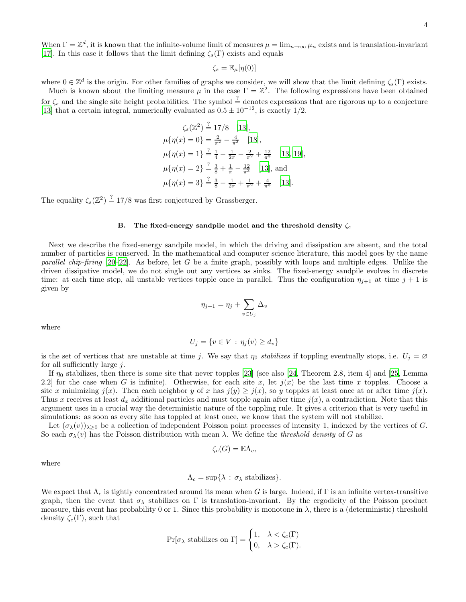When  $\Gamma = \mathbb{Z}^d$ , it is known that the infinite-volume limit of measures  $\mu = \lim_{n \to \infty} \mu_n$  exists and is translation-invariant [\[17\]](#page-19-13). In this case it follows that the limit defining  $\zeta_s(\Gamma)$  exists and equals

$$
\zeta_s = \mathbb{E}_{\mu}[\eta(0)]
$$

where  $0 \in \mathbb{Z}^d$  is the origin. For other families of graphs we consider, we will show that the limit defining  $\zeta_s(\Gamma)$  exists.

Much is known about the limiting measure  $\mu$  in the case  $\Gamma = \mathbb{Z}^2$ . The following expressions have been obtained for  $\zeta_s$  and the single site height probabilities. The symbol  $\frac{?}{=}$  denotes expressions that are rigorous up to a conjecture [\[13\]](#page-19-9) that a certain integral, numerically evaluated as  $0.5 \pm 10^{-12}$ , is exactly 1/2.

$$
\zeta_s(\mathbb{Z}^2) \stackrel{?}{=} 17/8 \quad [13],
$$
  
\n
$$
\mu\{\eta(x) = 0\} = \frac{2}{\pi^2} - \frac{4}{\pi^3} \quad [18],
$$
  
\n
$$
\mu\{\eta(x) = 1\} \stackrel{?}{=} \frac{1}{4} - \frac{1}{2\pi} - \frac{2}{\pi^2} + \frac{12}{\pi^3} \quad [13, 19],
$$
  
\n
$$
\mu\{\eta(x) = 2\} \stackrel{?}{=} \frac{3}{8} + \frac{1}{\pi} - \frac{12}{\pi^3} \quad [13],
$$
 and  
\n
$$
\mu\{\eta(x) = 3\} \stackrel{?}{=} \frac{3}{8} - \frac{1}{2\pi} + \frac{1}{\pi^2} + \frac{4}{\pi^3} \quad [13].
$$

The equality  $\zeta_s(\mathbb{Z}^2) \stackrel{?}{=} 17/8$  was first conjectured by Grassberger.

#### B. The fixed-energy sandpile model and the threshold density  $\zeta_c$

Next we describe the fixed-energy sandpile model, in which the driving and dissipation are absent, and the total number of particles is conserved. In the mathematical and computer science literature, this model goes by the name parallel chip-firing  $[20-22]$  $[20-22]$ . As before, let G be a finite graph, possibly with loops and multiple edges. Unlike the driven dissipative model, we do not single out any vertices as sinks. The fixed-energy sandpile evolves in discrete time: at each time step, all unstable vertices topple once in parallel. Thus the configuration  $\eta_{j+1}$  at time  $j+1$  is given by

$$
\eta_{j+1} = \eta_j + \sum_{v \in U_j} \Delta_v
$$

where

$$
U_j = \{v \in V : \eta_j(v) \ge d_v\}
$$

is the set of vertices that are unstable at time j. We say that  $\eta_0$  stabilizes if toppling eventually stops, i.e.  $U_j = \emptyset$ for all sufficiently large  $i$ .

If  $\eta_0$  stabilizes, then there is some site that never topples [\[23\]](#page-19-18) (see also [\[24,](#page-19-19) Theorem 2.8, item 4] and [\[25,](#page-19-20) Lemma 2.2] for the case when G is infinite). Otherwise, for each site x, let  $j(x)$  be the last time x topples. Choose a site x minimizing  $j(x)$ . Then each neighbor y of x has  $j(y) \geq j(x)$ , so y topples at least once at or after time  $j(x)$ . Thus x receives at least  $d_x$  additional particles and must topple again after time  $j(x)$ , a contradiction. Note that this argument uses in a crucial way the deterministic nature of the toppling rule. It gives a criterion that is very useful in simulations: as soon as every site has toppled at least once, we know that the system will not stabilize.

Let  $(\sigma_{\lambda}(v))_{\lambda>0}$  be a collection of independent Poisson point processes of intensity 1, indexed by the vertices of G. So each  $\sigma_{\lambda}(v)$  has the Poisson distribution with mean  $\lambda$ . We define the *threshold density* of G as

$$
\zeta_c(G) = \mathbb{E}\Lambda_c,
$$

where

## $\Lambda_c = \sup\{\lambda : \sigma_\lambda \text{ stabilizes}\}.$

We expect that  $\Lambda_c$  is tightly concentrated around its mean when G is large. Indeed, if  $\Gamma$  is an infinite vertex-transitive graph, then the event that  $\sigma_{\lambda}$  stabilizes on  $\Gamma$  is translation-invariant. By the ergodicity of the Poisson product measure, this event has probability 0 or 1. Since this probability is monotone in  $\lambda$ , there is a (deterministic) threshold density  $\zeta_c(\Gamma)$ , such that

$$
\Pr[\sigma_{\lambda} \text{ stabilizes on } \Gamma] = \begin{cases} 1, & \lambda < \zeta_c(\Gamma) \\ 0, & \lambda > \zeta_c(\Gamma). \end{cases}
$$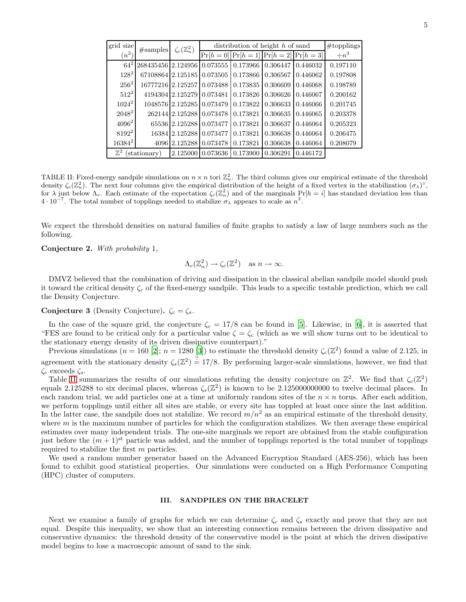<span id="page-4-1"></span>

| grid size      | #samples           | $\zeta_c(\mathbb{Z}_n^2)$ | distribution of height h of sand | #topplings                      |          |          |            |
|----------------|--------------------|---------------------------|----------------------------------|---------------------------------|----------|----------|------------|
| $(n^2)$        |                    |                           | $Pr[h=0]$                        | $Pr[h = 1] Pr[h = 2] Pr[h = 3]$ |          |          | $\div n^3$ |
| $64^{2}$       | 268435456 2.124956 |                           | 0.073555                         | 0.173966                        | 0.306447 | 0.446032 | 0.197110   |
| $128^2$        | 67108864 2.125185  |                           | 0.073505                         | 0.173866                        | 0.306567 | 0.446062 | 0.197808   |
| $256^2$        | 16777216 2.125257  |                           | 0.073488                         | 0.173835                        | 0.306609 | 0.446068 | 0.198789   |
| $512^2$        |                    | 4194304 2.125279          | 0.073481                         | 0.173826                        | 0.306626 | 0.446067 | 0.200162   |
| $1024^2$       |                    | 1048576 2.125285          | 0.073479                         | 0.173822                        | 0.306633 | 0.446066 | 0.201745   |
| $2048^2$       | 262144             | 2.125288                  | 0.073478                         | 0.173821                        | 0.306635 | 0.446065 | 0.203378   |
| $4096^2$       |                    | 65536 2.125288            | 0.073477                         | 0.173821                        | 0.306637 | 0.446064 | 0.205323   |
| $8192^2$       | 16384              | 2.125288                  | 0.073477                         | 0.173821                        | 0.306638 | 0.446064 | 0.206475   |
| $16384^2$      | 4096               | 2.125288                  | 0.073478                         | 0.173821                        | 0.306638 | 0.446064 | 0.208079   |
| $\mathbb{Z}^2$ | stationary)        | 2.125000                  | 0.073636                         | 0.173900                        | 0.306291 | 0.446172 |            |

TABLE II: Fixed-energy sandpile simulations on  $n \times n$  tori  $\mathbb{Z}_n^2$ . The third column gives our empirical estimate of the threshold density  $\zeta_c(\mathbb{Z}_n^2)$ . The next four columns give the empirical distribution of the height of a fixed vertex in the stabilization  $(\sigma_{\lambda})^{\circ}$ , for  $\lambda$  just below  $\Lambda_c$ . Each estimate of the expectation  $\zeta_c(\mathbb{Z}_n^2)$  and of the marginals  $Pr[h = i]$  has standard deviation less than  $4 \cdot 10^{-7}$ . The total number of topplings needed to stabilize  $\sigma_{\lambda}$  appears to scale as  $n^3$ .

We expect the threshold densities on natural families of finite graphs to satisfy a law of large numbers such as the following.

Conjecture 2. With probability 1,

$$
\Lambda_c(\mathbb{Z}_n^2) \to \zeta_c(\mathbb{Z}^2) \quad \text{as } n \to \infty.
$$

DMVZ believed that the combination of driving and dissipation in the classical abelian sandpile model should push it toward the critical density  $\zeta_c$  of the fixed-energy sandpile. This leads to a specific testable prediction, which we call the Density Conjecture.

<span id="page-4-2"></span>**Conjecture 3** (Density Conjecture).  $\zeta_c = \zeta_s$ .

In the case of the square grid, the conjecture  $\zeta_c = 17/8$  can be found in [\[5](#page-19-21)]. Likewise, in [\[6\]](#page-19-2), it is asserted that "FES are found to be critical only for a particular value  $\zeta = \zeta_c$  (which as we will show turns out to be identical to the stationary energy density of its driven dissipative counterpart)."

Previous simulations  $(n = 160 [2]; n = 1280 [3])$  $(n = 160 [2]; n = 1280 [3])$  $(n = 160 [2]; n = 1280 [3])$  $(n = 160 [2]; n = 1280 [3])$  $(n = 160 [2]; n = 1280 [3])$  to estimate the threshold density  $\zeta_c(\mathbb{Z}^2)$  found a value of 2.125, in agreement with the stationary density  $\zeta_s(\mathbb{Z}^2) \stackrel{?}{=} 17/8$ . By performing larger-scale simulations, however, we find that  $\zeta_c$  exceeds  $\zeta_s$ .

Table [II](#page-4-1) summarizes the results of our simulations refuting the density conjecture on  $\mathbb{Z}^2$ . We find that  $\zeta_c(\mathbb{Z}^2)$ equals 2.125288 to six decimal places, whereas  $\zeta_s(\mathbb{Z}^2)$  is known to be 2.125000000000 to twelve decimal places. In each random trial, we add particles one at a time at uniformly random sites of the  $n \times n$  torus. After each addition, we perform topplings until either all sites are stable, or every site has toppled at least once since the last addition. In the latter case, the sandpile does not stabilize. We record  $m/n^2$  as an empirical estimate of the threshold density, where  $m$  is the maximum number of particles for which the configuration stabilizes. We then average these empirical estimates over many independent trials. The one-site marginals we report are obtained from the stable configuration just before the  $(m + 1)$ <sup>st</sup> particle was added, and the number of topplings reported is the total number of topplings required to stabilize the first m particles.

We used a random number generator based on the Advanced Encryption Standard (AES-256), which has been found to exhibit good statistical properties. Our simulations were conducted on a High Performance Computing (HPC) cluster of computers.

#### <span id="page-4-0"></span>III. SANDPILES ON THE BRACELET

Next we examine a family of graphs for which we can determine  $\zeta_c$  and  $\zeta_s$  exactly and prove that they are not equal. Despite this inequality, we show that an interesting connection remains between the driven dissipative and conservative dynamics: the threshold density of the conservative model is the point at which the driven dissipative model begins to lose a macroscopic amount of sand to the sink.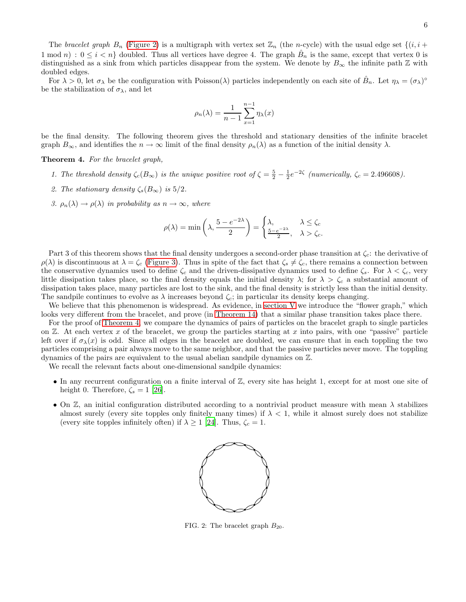The bracelet graph  $B_n$  [\(Figure 2\)](#page-5-1) is a multigraph with vertex set  $\mathbb{Z}_n$  (the n-cycle) with the usual edge set  $\{(i, i +$  $1 \mod n$ :  $0 \leq i < n$  doubled. Thus all vertices have degree 4. The graph  $\hat{B}_n$  is the same, except that vertex 0 is distinguished as a sink from which particles disappear from the system. We denote by  $B_{\infty}$  the infinite path Z with doubled edges.

For  $\lambda > 0$ , let  $\sigma_{\lambda}$  be the configuration with Poisson( $\lambda$ ) particles independently on each site of  $\hat{B}_n$ . Let  $\eta_{\lambda} = (\sigma_{\lambda})^{\circ}$ be the stabilization of  $\sigma_{\lambda}$ , and let

$$
\rho_n(\lambda) = \frac{1}{n-1} \sum_{x=1}^{n-1} \eta_\lambda(x)
$$

<span id="page-5-0"></span>be the final density. The following theorem gives the threshold and stationary densities of the infinite bracelet graph  $B_{\infty}$ , and identifies the  $n \to \infty$  limit of the final density  $\rho_n(\lambda)$  as a function of the initial density  $\lambda$ .

Theorem 4. For the bracelet graph,

- 1. The threshold density  $\zeta_c(B_\infty)$  is the unique positive root of  $\zeta = \frac{5}{2} \frac{1}{2}e^{-2\zeta}$  (numerically,  $\zeta_c = 2.496608$ ).
- 2. The stationary density  $\zeta_s(B_\infty)$  is 5/2.
- 3.  $\rho_n(\lambda) \to \rho(\lambda)$  in probability as  $n \to \infty$ , where

$$
\rho(\lambda) = \min\left(\lambda, \frac{5 - e^{-2\lambda}}{2}\right) = \begin{cases} \lambda, & \lambda \le \zeta_c \\ \frac{5 - e^{-2\lambda}}{2}, & \lambda > \zeta_c. \end{cases}
$$

Part 3 of this theorem shows that the final density undergoes a second-order phase transition at  $\zeta_c$ : the derivative of  $\rho(\lambda)$  is discontinuous at  $\lambda = \zeta_c$  [\(Figure 3\)](#page-6-0). Thus in spite of the fact that  $\zeta_s \neq \zeta_c$ , there remains a connection between the conservative dynamics used to define  $\zeta_c$  and the driven-dissipative dynamics used to define  $\zeta_s$ . For  $\lambda < \zeta_c$ , very little dissipation takes place, so the final density equals the initial density  $\lambda$ ; for  $\lambda > \zeta_c$  a substantial amount of dissipation takes place, many particles are lost to the sink, and the final density is strictly less than the initial density. The sandpile continues to evolve as  $\lambda$  increases beyond  $\zeta_c$ ; in particular its density keeps changing.

We believe that this phenomenon is widespread. As evidence, in [section V](#page-9-0) we introduce the "flower graph," which looks very different from the bracelet, and prove (in [Theorem](#page-13-0) 14) that a similar phase transition takes place there.

For the proof of [Theorem 4,](#page-5-0) we compare the dynamics of pairs of particles on the bracelet graph to single particles on  $\mathbb Z$ . At each vertex x of the bracelet, we group the particles starting at x into pairs, with one "passive" particle left over if  $\sigma_{\lambda}(x)$  is odd. Since all edges in the bracelet are doubled, we can ensure that in each toppling the two particles comprising a pair always move to the same neighbor, and that the passive particles never move. The toppling dynamics of the pairs are equivalent to the usual abelian sandpile dynamics on Z.

We recall the relevant facts about one-dimensional sandpile dynamics:

- In any recurrent configuration on a finite interval of  $\mathbb{Z}$ , every site has height 1, except for at most one site of height 0. Therefore,  $\zeta_s = 1$  [\[26](#page-19-23)].
- <span id="page-5-1"></span>• On  $\mathbb{Z}$ , an initial configuration distributed according to a nontrivial product measure with mean  $\lambda$  stabilizes almost surely (every site topples only finitely many times) if  $\lambda < 1$ , while it almost surely does not stabilize (every site topples infinitely often) if  $\lambda \ge 1$  [\[24\]](#page-19-19). Thus,  $\zeta_c = 1$ .



FIG. 2: The bracelet graph  $B_{20}$ .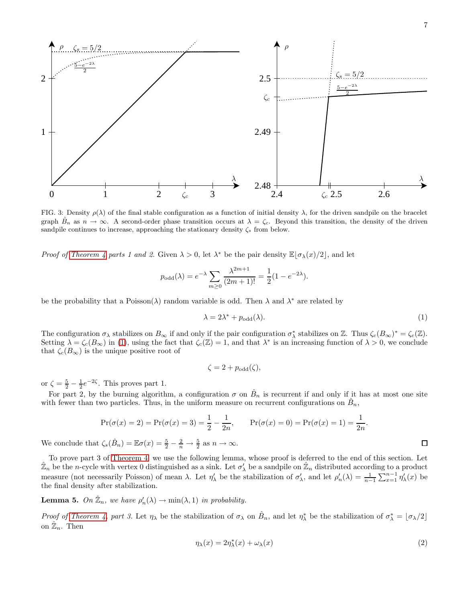<span id="page-6-0"></span>

FIG. 3: Density  $\rho(\lambda)$  of the final stable configuration as a function of initial density  $\lambda$ , for the driven sandpile on the bracelet graph  $\hat{B}_n$  as  $n \to \infty$ . A second-order phase transition occurs at  $\lambda = \zeta_c$ . Beyond this transition, the density of the driven sandpile continues to increase, approaching the stationary density  $\zeta_s$  from below.

*Proof of [Theorem 4](#page-5-0) parts 1 and 2.* Given  $\lambda > 0$ , let  $\lambda^*$  be the pair density  $\mathbb{E}[\sigma_\lambda(x)/2]$ , and let

$$
p_{\text{odd}}(\lambda) = e^{-\lambda} \sum_{m \ge 0} \frac{\lambda^{2m+1}}{(2m+1)!} = \frac{1}{2} (1 - e^{-2\lambda}).
$$

be the probability that a Poisson( $\lambda$ ) random variable is odd. Then  $\lambda$  and  $\lambda^*$  are related by

<span id="page-6-1"></span>
$$
\lambda = 2\lambda^* + p_{\text{odd}}(\lambda). \tag{1}
$$

The configuration  $\sigma_{\lambda}$  stabilizes on  $B_{\infty}$  if and only if the pair configuration  $\sigma_{\lambda}^{*}$  stabilizes on Z. Thus  $\zeta_c(B_{\infty})^{*} = \zeta_c(\mathbb{Z})$ . Setting  $\lambda = \zeta_c(B_\infty)$  in [\(1\)](#page-6-1), using the fact that  $\zeta_c(\mathbb{Z}) = 1$ , and that  $\lambda^*$  is an increasing function of  $\lambda > 0$ , we conclude that  $\zeta_c(B_\infty)$  is the unique positive root of

$$
\zeta = 2 + p_{\text{odd}}(\zeta),
$$

or  $\zeta = \frac{5}{2} - \frac{1}{2}e^{-2\zeta}$ . This proves part 1.

For part 2, by the burning algorithm, a configuration  $\sigma$  on  $\hat{B}_n$  is recurrent if and only if it has at most one site with fewer than two particles. Thus, in the uniform measure on recurrent configurations on  $\hat{B}_n$ ,

$$
\Pr(\sigma(x) = 2) = \Pr(\sigma(x) = 3) = \frac{1}{2} - \frac{1}{2n}, \qquad \Pr(\sigma(x) = 0) = \Pr(\sigma(x) = 1) = \frac{1}{2n}.
$$
  
Let  $\zeta(\hat{B}) = \mathbb{E}\sigma(x) = \frac{5}{2} - \frac{2}{2} \to \frac{5}{2}$  as  $n \to \infty$ 

We conclude that  $\zeta_s(\hat{B}_n) = \mathbb{E}\sigma(x) = \frac{5}{2}$  $\frac{8}{2}$  $\frac{2}{n}$  $\frac{2}{n} \to \frac{5}{2}$  as  $n \to \infty$ .

To prove part 3 of [Theorem 4,](#page-5-0) we use the following lemma, whose proof is deferred to the end of this section. Let  $\hat{\mathbb{Z}}_n$  be the n-cycle with vertex 0 distinguished as a sink. Let  $\sigma'_\lambda$  be a sandpile on  $\hat{\mathbb{Z}}_n$  distributed according to a product measure (not necessarily Poisson) of mean  $\lambda$ . Let  $\eta'_{\lambda}$  be the stabilization of  $\sigma'_{\lambda}$ , and let  $\rho'_{n}(\lambda) = \frac{1}{n-1} \sum_{x=1}^{n-1} \eta'_{\lambda}(x)$  be the final density after stabilization.

<span id="page-6-2"></span>**Lemma 5.** On  $\mathbb{Z}_n$ , we have  $\rho'_n(\lambda) \to \min(\lambda, 1)$  in probability.

Proof of [Theorem 4,](#page-5-0) part 3. Let  $\eta_{\lambda}$  be the stabilization of  $\sigma_{\lambda}$  on  $\hat{B}_n$ , and let  $\eta_{\lambda}^*$  be the stabilization of  $\sigma_{\lambda}^* = [\sigma_{\lambda}/2]$ on  $\hat{\mathbb{Z}}_n$ . Then

$$
\eta_{\lambda}(x) = 2\eta_{\lambda}^{*}(x) + \omega_{\lambda}(x) \tag{2}
$$

 $\Box$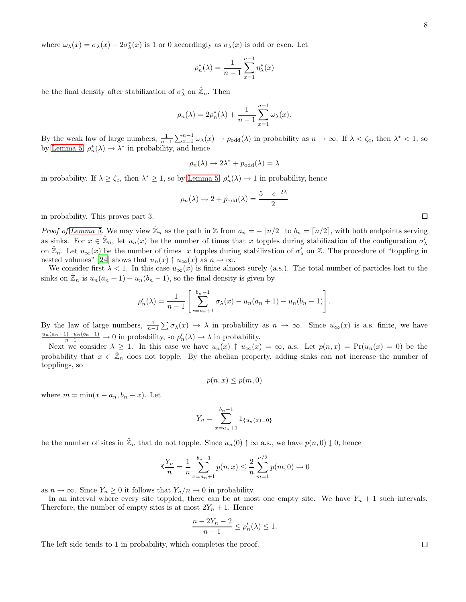where  $\omega_{\lambda}(x) = \sigma_{\lambda}(x) - 2\sigma_{\lambda}^{*}(x)$  is 1 or 0 accordingly as  $\sigma_{\lambda}(x)$  is odd or even. Let

$$
\rho_n^*(\lambda) = \frac{1}{n-1} \sum_{x=1}^{n-1} \eta_{\lambda}^*(x)
$$

be the final density after stabilization of  $\sigma_{\lambda}^*$  on  $\hat{\mathbb{Z}}_n$ . Then

$$
\rho_n(\lambda) = 2\rho_n^*(\lambda) + \frac{1}{n-1} \sum_{x=1}^{n-1} \omega_\lambda(x).
$$

By the weak law of large numbers,  $\frac{1}{n-1} \sum_{x=1}^{n-1} \omega_{\lambda}(x) \to p_{odd}(\lambda)$  in probability as  $n \to \infty$ . If  $\lambda < \zeta_c$ , then  $\lambda^* < 1$ , so by [Lemma 5,](#page-6-2)  $\rho_n^*(\lambda) \to \lambda^*$  in probability, and hence

$$
\rho_n(\lambda) \to 2\lambda^* + p_{\text{odd}}(\lambda) = \lambda
$$

in probability. If  $\lambda \ge \zeta_c$ , then  $\lambda^* \ge 1$ , so by [Lemma 5,](#page-6-2)  $\rho_n^*(\lambda) \to 1$  in probability, hence

$$
\rho_n(\lambda) \to 2 + p_{\text{odd}}(\lambda) = \frac{5 - e^{-2\lambda}}{2}
$$

in probability. This proves part 3.

*Proof of [Lemma 5.](#page-6-2)* We may view  $\hat{\mathbb{Z}}_n$  as the path in  $\mathbb{Z}$  from  $a_n = -\lfloor n/2 \rfloor$  to  $b_n = \lceil n/2 \rceil$ , with both endpoints serving as sinks. For  $x \in \hat{\mathbb{Z}}_n$ , let  $u_n(x)$  be the number of times that x topples during stabilization of the configuration  $\sigma'_{\lambda}$ on  $\mathbb{Z}_n$ . Let  $u_\infty(x)$  be the number of times x topples during stabilization of  $\sigma'_\lambda$  on  $\mathbb{Z}$ . The procedure of "toppling in nested volumes" [\[24\]](#page-19-19) shows that  $u_n(x) \uparrow u_\infty(x)$  as  $n \to \infty$ .

We consider first  $\lambda < 1$ . In this case  $u_{\infty}(x)$  is finite almost surely (a.s.). The total number of particles lost to the sinks on  $\hat{\mathbb{Z}}_n$  is  $u_n(a_n + 1) + u_n(b_n - 1)$ , so the final density is given by

$$
\rho'_n(\lambda) = \frac{1}{n-1} \left[ \sum_{x=a_n+1}^{b_n-1} \sigma_\lambda(x) - u_n(a_n+1) - u_n(b_n-1) \right].
$$

By the law of large numbers,  $\frac{1}{n-1} \sum \sigma_{\lambda}(x) \rightarrow \lambda$  in probability as  $n \rightarrow \infty$ . Since  $u_{\infty}(x)$  is a.s. finite, we have  $\frac{u_n(a_n+1)+u_n(b_n-1)}{n-1} \to 0$  in probability, so  $\rho'_n(\lambda) \to \lambda$  in probability.

Next we consider  $\lambda \geq 1$ . In this case we have  $u_n(x) \uparrow u_\infty(x) = \infty$ , a.s. Let  $p(n,x) = Pr(u_n(x) = 0)$  be the probability that  $x \in \hat{\mathbb{Z}}_n$  does not topple. By the abelian property, adding sinks can not increase the number of topplings, so

$$
p(n,x) \le p(m,0)
$$

where  $m = \min(x - a_n, b_n - x)$ . Let

$$
Y_n = \sum_{x=a_n+1}^{b_n-1} 1_{\{u_n(x)=0\}}
$$

be the number of sites in  $\mathbb{Z}_n$  that do not topple. Since  $u_n(0) \uparrow \infty$  a.s., we have  $p(n,0) \downarrow 0$ , hence

$$
\mathbb{E}\frac{Y_n}{n} = \frac{1}{n} \sum_{x=a_n+1}^{b_n-1} p(n,x) \le \frac{2}{n} \sum_{m=1}^{n/2} p(m,0) \to 0
$$

as  $n \to \infty$ . Since  $Y_n \geq 0$  it follows that  $Y_n/n \to 0$  in probability.

In an interval where every site toppled, there can be at most one empty site. We have  $Y_n + 1$  such intervals. Therefore, the number of empty sites is at most  $2Y_n + 1$ . Hence

$$
\frac{n-2Y_n-2}{n-1} \le \rho'_n(\lambda) \le 1.
$$

The left side tends to 1 in probability, which completes the proof.

 $\Box$ 

 $\Box$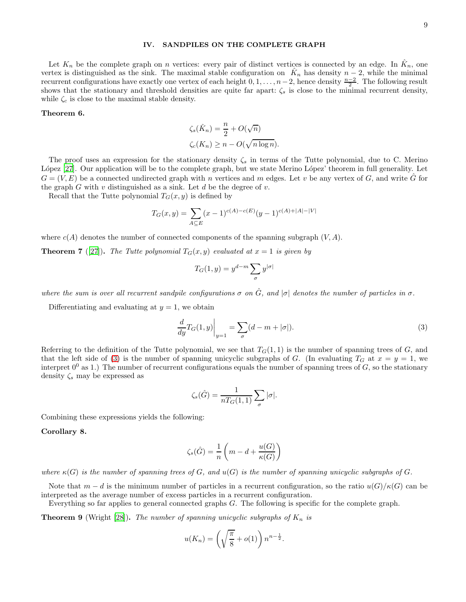### <span id="page-8-0"></span>IV. SANDPILES ON THE COMPLETE GRAPH

Let  $K_n$  be the complete graph on n vertices: every pair of distinct vertices is connected by an edge. In  $\hat{K}_n$ , one vertex is distinguished as the sink. The maximal stable configuration on  $\hat{K}_n$  has density  $n-2$ , while the minimal recurrent configurations have exactly one vertex of each height  $0, 1, \ldots, n-2$ , hence density  $\frac{n-2}{2}$ . The following result shows that the stationary and threshold densities are quite far apart:  $\zeta_s$  is close to the minimal recurrent density, while  $\zeta_c$  is close to the maximal stable density.

### <span id="page-8-2"></span>Theorem 6.

$$
\zeta_s(\hat{K}_n) = \frac{n}{2} + O(\sqrt{n})
$$
  

$$
\zeta_c(K_n) \ge n - O(\sqrt{n \log n}).
$$

The proof uses an expression for the stationary density  $\zeta_s$  in terms of the Tutte polynomial, due to C. Merino López [\[27\]](#page-19-24). Our application will be to the complete graph, but we state Merino López' theorem in full generality. Let  $G = (V, E)$  be a connected undirected graph with n vertices and m edges. Let v be any vertex of G, and write  $\tilde{G}$  for the graph  $G$  with  $v$  distinguished as a sink. Let  $d$  be the degree of  $v$ .

Recall that the Tutte polynomial  $T_G(x, y)$  is defined by

$$
T_G(x,y) = \sum_{A \subseteq E} (x-1)^{c(A)-c(E)} (y-1)^{c(A)+|A|-|V|}
$$

where  $c(A)$  denotes the number of connected components of the spanning subgraph  $(V, A)$ .

**Theorem 7** ([\[27\]](#page-19-24)). The Tutte polynomial  $T_G(x, y)$  evaluated at  $x = 1$  is given by

$$
T_G(1,y) = y^{d-m} \sum_{\sigma} y^{|\sigma|}
$$

where the sum is over all recurrent sandpile configurations  $\sigma$  on  $\hat{G}$ , and  $|\sigma|$  denotes the number of particles in  $\sigma$ .

Differentiating and evaluating at  $y = 1$ , we obtain

<span id="page-8-1"></span>
$$
\frac{d}{dy}T_G(1,y)\Big|_{y=1} = \sum_{\sigma}(d-m+|\sigma|). \tag{3}
$$

Referring to the definition of the Tutte polynomial, we see that  $T<sub>G</sub>(1,1)$  is the number of spanning trees of G, and that the left side of [\(3\)](#page-8-1) is the number of spanning unicyclic subgraphs of G. (In evaluating  $T_G$  at  $x = y = 1$ , we interpret  $0^0$  as 1.) The number of recurrent configurations equals the number of spanning trees of G, so the stationary density  $\zeta_s$  may be expressed as

$$
\zeta_s(\hat{G}) = \frac{1}{nT_G(1,1)} \sum_{\sigma} |\sigma|.
$$

<span id="page-8-3"></span>Combining these expressions yields the following:

#### Corollary 8.

$$
\zeta_s(\hat{G}) = \frac{1}{n} \left( m - d + \frac{u(G)}{\kappa(G)} \right)
$$

where  $\kappa(G)$  is the number of spanning trees of G, and  $u(G)$  is the number of spanning unicyclic subgraphs of G.

Note that  $m - d$  is the minimum number of particles in a recurrent configuration, so the ratio  $u(G)/\kappa(G)$  can be interpreted as the average number of excess particles in a recurrent configuration.

<span id="page-8-4"></span>Everything so far applies to general connected graphs G. The following is specific for the complete graph.

**Theorem 9** (Wright [\[28](#page-19-25)]). The number of spanning unicyclic subgraphs of  $K_n$  is

$$
u(K_n) = \left(\sqrt{\frac{\pi}{8}} + o(1)\right) n^{n - \frac{1}{2}}.
$$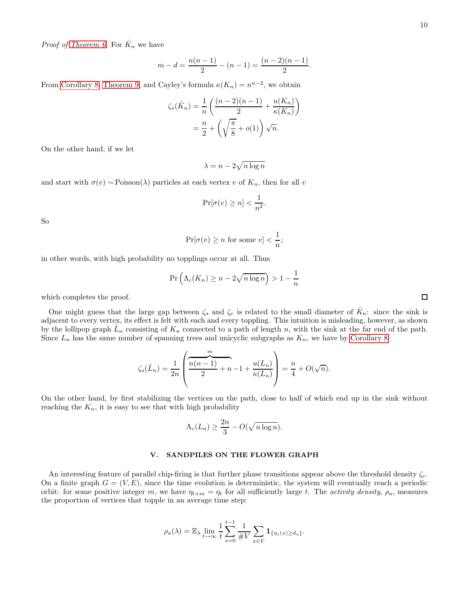*Proof of [Theorem 6.](#page-8-2)* For  $\hat{K}_n$  we have

$$
m-d = \frac{n(n-1)}{2} - (n-1) = \frac{(n-2)(n-1)}{2}.
$$

From [Corollary 8,](#page-8-3) [Theorem 9,](#page-8-4) and Cayley's formula  $\kappa(K_n) = n^{n-2}$ , we obtain

$$
\zeta_s(\hat{K}_n) = \frac{1}{n} \left( \frac{(n-2)(n-1)}{2} + \frac{u(K_n)}{\kappa(K_n)} \right)
$$

$$
= \frac{n}{2} + \left( \sqrt{\frac{\pi}{8}} + o(1) \right) \sqrt{n}.
$$

On the other hand, if we let

$$
\lambda = n - 2\sqrt{n \log n}
$$

and start with  $\sigma(v) \sim \text{Poisson}(\lambda)$  particles at each vertex v of  $K_n$ , then for all v

$$
\Pr[\sigma(v) \ge n] < \frac{1}{n^2}.
$$

So

$$
\Pr[\sigma(v) \ge n \text{ for some } v] < \frac{1}{n};
$$

in other words, with high probability no topplings occur at all. Thus

$$
\Pr\left(\Lambda_c(K_n) \ge n - 2\sqrt{n\log n}\right) > 1 - \frac{1}{n}
$$

which completes the proof.

One might guess that the large gap between  $\zeta_s$  and  $\zeta_c$  is related to the small diameter of  $\hat{K}_n$ : since the sink is adjacent to every vertex, its effect is felt with each and every toppling. This intuition is misleading, however, as shown by the lollipop graph  $\hat{L}_n$  consisting of  $K_n$  connected to a path of length n, with the sink at the far end of the path. Since  $L_n$  has the same number of spanning trees and unicyclic subgraphs as  $K_n$ , we have by [Corollary 8](#page-8-3)

$$
\zeta_s(\hat{L}_n) = \frac{1}{2n} \left( \frac{\overbrace{n(n-1)}^{m}}{2} + n - 1 + \frac{u(L_n)}{\kappa(L_n)} \right) = \frac{n}{4} + O(\sqrt{n}).
$$

On the other hand, by first stabilizing the vertices on the path, close to half of which end up in the sink without reaching the  $K_n$ , it is easy to see that with high probability

$$
\Lambda_c(L_n) \ge \frac{2n}{3} - O(\sqrt{n \log n}).
$$

#### <span id="page-9-0"></span>V. SANDPILES ON THE FLOWER GRAPH

An interesting feature of parallel chip-firing is that further phase transitions appear above the threshold density  $\zeta_c$ . On a finite graph  $G = (V, E)$ , since the time evolution is deterministic, the system will eventually reach a periodic orbit: for some positive integer m, we have  $\eta_{t+m} = \eta_t$  for all sufficiently large t. The activity density,  $\rho_a$ , measures the proportion of vertices that topple in an average time step:

$$
\rho_a(\lambda) = \mathbb{E}_{\lambda} \lim_{t \to \infty} \frac{1}{t} \sum_{s=0}^{t-1} \frac{1}{\# V} \sum_{x \in V} \mathbf{1}_{\{\eta_s(x) \ge d_x\}}.
$$

 $\Box$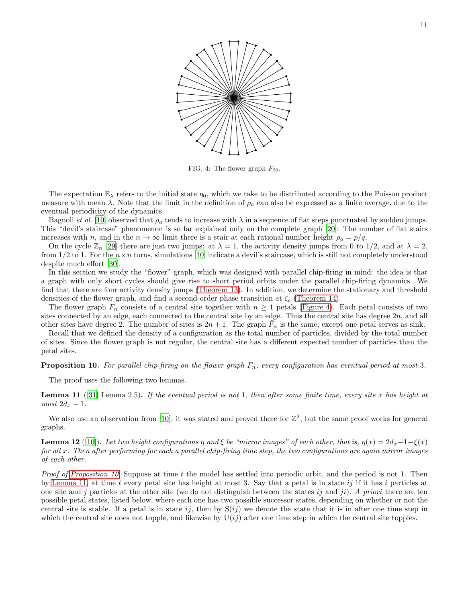<span id="page-10-0"></span>

FIG. 4: The flower graph  $F_{20}$ .

The expectation  $\mathbb{E}_{\lambda}$  refers to the initial state  $\eta_0$ , which we take to be distributed according to the Poisson product measure with mean  $\lambda$ . Note that the limit in the definition of  $\rho_a$  can also be expressed as a finite average, due to the eventual periodicity of the dynamics.

Bagnoli et al. [\[10\]](#page-19-6) observed that  $\rho_a$  tends to increase with  $\lambda$  in a sequence of flat steps punctuated by sudden jumps. This "devil's staircase" phenomenon is so far explained only on the complete graph [\[20](#page-19-16)]: The number of flat stairs increases with n, and in the  $n \to \infty$  limit there is a stair at each rational number height  $\rho_a = p/q$ .

On the cycle  $\mathbb{Z}_n$  [\[29\]](#page-19-26) there are just two jumps: at  $\lambda = 1$ , the activity density jumps from 0 to 1/2, and at  $\lambda = 2$ . from  $1/2$  to 1. For the  $n \times n$  torus, simulations [\[10\]](#page-19-6) indicate a devil's staircase, which is still not completely understood despite much effort [\[30\]](#page-19-27).

In this section we study the "flower" graph, which was designed with parallel chip-firing in mind: the idea is that a graph with only short cycles should give rise to short period orbits under the parallel chip-firing dynamics. We find that there are four activity density jumps [\(Theorem 13\)](#page-12-0). In addition, we determine the stationary and threshold densities of the flower graph, and find a second-order phase transition at  $\zeta_c$  [\(Theorem 14\)](#page-13-0).

The flower graph  $F_n$  consists of a central site together with  $n \geq 1$  petals [\(Figure 4\)](#page-10-0). Each petal consists of two sites connected by an edge, each connected to the central site by an edge. Thus the central site has degree  $2n$ , and all other sites have degree 2. The number of sites is  $2n + 1$ . The graph  $F_n$  is the same, except one petal serves as sink.

Recall that we defined the density of a configuration as the total number of particles, divided by the total number of sites. Since the flower graph is not regular, the central site has a different expected number of particles than the petal sites.

<span id="page-10-1"></span>**Proposition 10.** For parallel chip-firing on the flower graph  $F_n$ , every configuration has eventual period at most 3.

<span id="page-10-2"></span>The proof uses the following two lemmas.

**Lemma 11** ([\[31\]](#page-19-28) Lemma 2.5). If the eventual period is not 1, then after some finite time, every site x has height at  $most 2d_x - 1.$ 

We also use an observation from [\[10](#page-19-6)]; it was stated and proved there for  $\mathbb{Z}^2$ , but the same proof works for general graphs.

**Lemma 12** ([\[10](#page-19-6)]). Let two height configurations  $\eta$  and  $\xi$  be "mirror images" of each other, that is,  $\eta(x) = 2d_x - 1 - \xi(x)$ for all x. Then after performing for each a parallel chip-firing time step, the two configurations are again mirror images of each other.

Proof of [Proposition 10.](#page-10-1) Suppose at time t the model has settled into periodic orbit, and the period is not 1. Then by [Lemma 11,](#page-10-2) at time t every petal site has height at most 3. Say that a petal is in state  $ij$  if it has i particles at one site and j particles at the other site (we do not distinguish between the states ij and ji). A priori there are ten possible petal states, listed below, where each one has two possible successor states, depending on whether or not the central site is stable. If a petal is in state ij, then by  $S(ij)$  we denote the state that it is in after one time step in which the central site does not topple, and likewise by  $U(ij)$  after one time step in which the central site topples.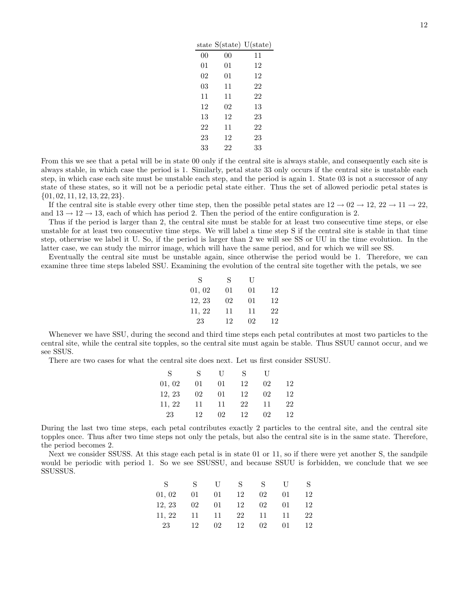|    |    | $U(\text{state})$ |
|----|----|-------------------|
| 00 | 00 | 11                |
| 01 | 01 | 12                |
| 02 | 01 | 12                |
| 03 | 11 | 22                |
| 11 | 11 | 22                |
| 12 | 02 | 13                |
| 13 | 12 | 23                |
| 22 | 11 | 22                |
| 23 | 12 | 23                |
| 33 | 22 | 33                |
|    |    | state S(state)    |

From this we see that a petal will be in state 00 only if the central site is always stable, and consequently each site is always stable, in which case the period is 1. Similarly, petal state 33 only occurs if the central site is unstable each step, in which case each site must be unstable each step, and the period is again 1. State 03 is not a successor of any state of these states, so it will not be a periodic petal state either. Thus the set of allowed periodic petal states is  $\{01, 02, 11, 12, 13, 22, 23\}.$ 

If the central site is stable every other time step, then the possible petal states are  $12 \rightarrow 02 \rightarrow 12$ ,  $22 \rightarrow 11 \rightarrow 22$ , and  $13 \rightarrow 12 \rightarrow 13$ , each of which has period 2. Then the period of the entire configuration is 2.

Thus if the period is larger than 2, the central site must be stable for at least two consecutive time steps, or else unstable for at least two consecutive time steps. We will label a time step S if the central site is stable in that time step, otherwise we label it U. So, if the period is larger than 2 we will see SS or UU in the time evolution. In the latter case, we can study the mirror image, which will have the same period, and for which we will see SS.

Eventually the central site must be unstable again, since otherwise the period would be 1. Therefore, we can examine three time steps labeled SSU. Examining the evolution of the central site together with the petals, we see

| S      | S  | U  |    |
|--------|----|----|----|
| 01,02  | 01 | 01 | 12 |
| 12, 23 | 02 | 01 | 12 |
| 11, 22 | 11 | 11 | 22 |
| 23     | 12 | 02 | 12 |

Whenever we have SSU, during the second and third time steps each petal contributes at most two particles to the central site, while the central site topples, so the central site must again be stable. Thus SSUU cannot occur, and we see SSUS.

There are two cases for what the central site does next. Let us first consider SSUSU.

| S      | S  | $\Box$ | S  | $\Box$ |    |
|--------|----|--------|----|--------|----|
| 01, 02 | 01 | 01     | 12 | 02     | 12 |
| 12, 23 | 02 | 01     | 12 | 02     | 12 |
| 11, 22 | 11 | 11     | 22 | 11     | 22 |
| 23     | 12 | 02     | 12 | 02     | 12 |

During the last two time steps, each petal contributes exactly 2 particles to the central site, and the central site topples once. Thus after two time steps not only the petals, but also the central site is in the same state. Therefore, the period becomes 2.

Next we consider SSUSS. At this stage each petal is in state 01 or 11, so if there were yet another S, the sandpile would be periodic with period 1. So we see SSUSSU, and because SSUU is forbidden, we conclude that we see SSUSSUS.

| S.     | S. | - 11 - | S  | S. | $\mathbf{U}$ | S. |
|--------|----|--------|----|----|--------------|----|
| 01, 02 | 01 | 01     | 12 | 02 | 01           | 12 |
| 12, 23 | 02 | 01     | 12 | 02 | 01.          | 12 |
| 11, 22 | 11 | - 11 - | 22 | 11 | 11           | 22 |
| 23     | 12 | 02     | 12 | 02 | 01.          | 12 |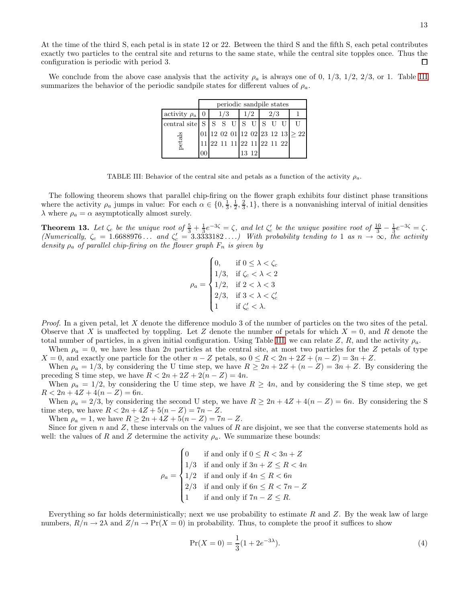At the time of the third S, each petal is in state 12 or 22. Between the third S and the fifth S, each petal contributes exactly two particles to the central site and returns to the same state, while the central site topples once. Thus the configuration is periodic with period 3.  $\Box$ 

<span id="page-12-1"></span>We conclude from the above case analysis that the activity  $\rho_a$  is always one of 0, 1/3, 1/2, 2/3, or 1. Table [III](#page-12-1) summarizes the behavior of the periodic sandpile states for different values of  $\rho_a$ .

|                                 | periodic sandpile states |     |                            |     |     |  |     |  |                                         |
|---------------------------------|--------------------------|-----|----------------------------|-----|-----|--|-----|--|-----------------------------------------|
| activity $\rho_a \mid 0$        |                          | 1/3 |                            | 1/2 |     |  | 2/3 |  |                                         |
| central site $ S S S U S U S U$ |                          |     |                            |     |     |  |     |  |                                         |
|                                 |                          |     |                            |     |     |  |     |  | $ 01 12$ 02 01 12 02 23 12 13 $\geq 22$ |
| etals                           |                          |     | 11 22 11 11 22 11 22 11 22 |     |     |  |     |  |                                         |
|                                 |                          |     |                            | 13  | -12 |  |     |  |                                         |

TABLE III: Behavior of the central site and petals as a function of the activity  $\rho_a$ .

The following theorem shows that parallel chip-firing on the flower graph exhibits four distinct phase transitions where the activity  $\rho_a$  jumps in value: For each  $\alpha \in \{0, \frac{1}{3}, \frac{1}{2}, \frac{2}{3}, 1\}$ , there is a nonvanishing interval of initial densities  $\lambda$  where  $\rho_a = \alpha$  asymptotically almost surely.

<span id="page-12-0"></span>**Theorem 13.** Let  $\zeta_c$  be the unique root of  $\frac{5}{3} + \frac{1}{3}e^{-3\zeta} = \zeta$ , and let  $\zeta_c'$  be the unique positive root of  $\frac{10}{3} - \frac{1}{3}e^{-3\zeta} = \zeta$ . (Numerically,  $\zeta_c = 1.6688976...$  and  $\zeta_c' = 3.3333182...$ ) With probability tending to 1 as  $n \to \infty$ , the activity density  $\rho_a$  of parallel chip-firing on the flower graph  $F_n$  is given by

$$
\rho_a = \begin{cases} 0, & \text{if } 0 \leq \lambda < \zeta_c \\ 1/3, & \text{if } \zeta_c < \lambda < 2 \\ 1/2, & \text{if } 2 < \lambda < 3 \\ 2/3, & \text{if } 3 < \lambda < \zeta_c' \\ 1 & \text{if } \zeta_c' < \lambda. \end{cases}
$$

*Proof.* In a given petal, let X denote the difference modulo 3 of the number of particles on the two sites of the petal. Observe that X is unaffected by toppling. Let Z denote the number of petals for which  $X = 0$ , and R denote the total number of particles, in a given initial configuration. Using Table [III,](#page-12-1) we can relate Z, R, and the activity  $\rho_a$ .

When  $\rho_a = 0$ , we have less than  $2n$  particles at the central site, at most two particles for the Z petals of type  $X = 0$ , and exactly one particle for the other  $n - Z$  petals, so  $0 \le R < 2n + 2Z + (n - Z) = 3n + Z$ .

When  $\rho_a = 1/3$ , by considering the U time step, we have  $R \geq 2n + 2Z + (n - Z) = 3n + Z$ . By considering the preceding S time step, we have  $R < 2n + 2Z + 2(n - Z) = 4n$ .

When  $\rho_a = 1/2$ , by considering the U time step, we have  $R \ge 4n$ , and by considering the S time step, we get  $R < 2n + 4Z + 4(n - Z) = 6n$ .

When  $\rho_a = 2/3$ , by considering the second U step, we have  $R \ge 2n + 4Z + 4(n - Z) = 6n$ . By considering the S time step, we have  $R < 2n + 4Z + 5(n - Z) = 7n - Z$ .

When  $\rho_a = 1$ , we have  $R \ge 2n + 4Z + 5(n - Z) = 7n - Z$ .

Since for given n and  $Z$ , these intervals on the values of R are disjoint, we see that the converse statements hold as well: the values of R and Z determine the activity  $\rho_a$ . We summarize these bounds:

$$
\rho_a = \begin{cases}\n0 & \text{if and only if } 0 \le R < 3n + Z \\
1/3 & \text{if and only if } 3n + Z \le R < 4n \\
1/2 & \text{if and only if } 4n \le R < 6n \\
2/3 & \text{if and only if } 6n \le R < 7n - Z \\
1 & \text{if and only if } 7n - Z \le R.\n\end{cases}
$$

Everything so far holds deterministically; next we use probability to estimate R and Z. By the weak law of large numbers,  $R/n \to 2\lambda$  and  $Z/n \to Pr(X = 0)$  in probability. Thus, to complete the proof it suffices to show

<span id="page-12-2"></span>
$$
\Pr(X=0) = \frac{1}{3}(1 + 2e^{-3\lambda}).\tag{4}
$$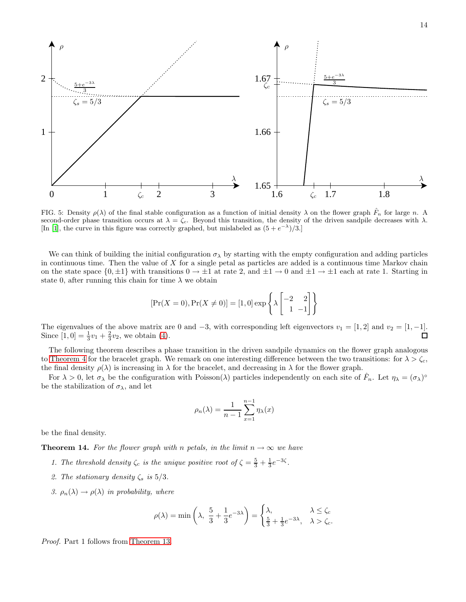

FIG. 5: Density  $\rho(\lambda)$  of the final stable configuration as a function of initial density  $\lambda$  on the flower graph  $\hat{F}_n$  for large n. A second-order phase transition occurs at  $\lambda = \zeta_c$ . Beyond this transition, the density of the driven sandpile decreases with  $\lambda$ . [In [\[1](#page-19-0)], the curve in this figure was correctly graphed, but mislabeled as  $(5 + e^{-\lambda})/3$ .]

We can think of building the initial configuration  $\sigma_{\lambda}$  by starting with the empty configuration and adding particles in continuous time. Then the value of  $X$  for a single petal as particles are added is a continuous time Markov chain on the state space  $\{0, \pm 1\}$  with transitions  $0 \to \pm 1$  at rate 2, and  $\pm 1 \to 0$  and  $\pm 1 \to \pm 1$  each at rate 1. Starting in state 0, after running this chain for time  $\lambda$  we obtain

$$
[\Pr(X=0), \Pr(X \neq 0)] = [1, 0] \exp\left\{\lambda \begin{bmatrix} -2 & 2\\ 1 & -1 \end{bmatrix} \right\}
$$

The eigenvalues of the above matrix are 0 and −3, with corresponding left eigenvectors  $v_1 = [1, 2]$  and  $v_2 = [1, -1]$ .<br>Since  $[1, 0] = \frac{1}{2}v_1 + \frac{2}{5}v_2$ , we obtain (4). Since  $[1, 0] = \frac{1}{3}v_1 + \frac{2}{3}v_2$ , we obtain [\(4\)](#page-12-2).

The following theorem describes a phase transition in the driven sandpile dynamics on the flower graph analogous to [Theorem 4](#page-5-0) for the bracelet graph. We remark on one interesting difference between the two transitions: for  $\lambda > \zeta_c$ , the final density  $\rho(\lambda)$  is increasing in  $\lambda$  for the bracelet, and decreasing in  $\lambda$  for the flower graph.

For  $\lambda > 0$ , let  $\sigma_{\lambda}$  be the configuration with Poisson( $\lambda$ ) particles independently on each site of  $\hat{F}_n$ . Let  $\eta_{\lambda} = (\sigma_{\lambda})^{\circ}$ be the stabilization of  $\sigma_{\lambda}$ , and let

$$
\rho_n(\lambda) = \frac{1}{n-1} \sum_{x=1}^{n-1} \eta_\lambda(x)
$$

<span id="page-13-0"></span>be the final density.

**Theorem 14.** For the flower graph with n petals, in the limit  $n \to \infty$  we have

- 1. The threshold density  $\zeta_c$  is the unique positive root of  $\zeta = \frac{5}{3} + \frac{1}{3}e^{-3\zeta}$ .
- 2. The stationary density  $\zeta_s$  is  $5/3$ .
- 3.  $\rho_n(\lambda) \to \rho(\lambda)$  in probability, where

$$
\rho(\lambda) = \min\left(\lambda, \ \frac{5}{3} + \frac{1}{3}e^{-3\lambda}\right) = \begin{cases} \lambda, & \lambda \le \zeta_c \\ \frac{5}{3} + \frac{1}{3}e^{-3\lambda}, & \lambda > \zeta_c. \end{cases}
$$

Proof. Part 1 follows from [Theorem 13.](#page-12-0)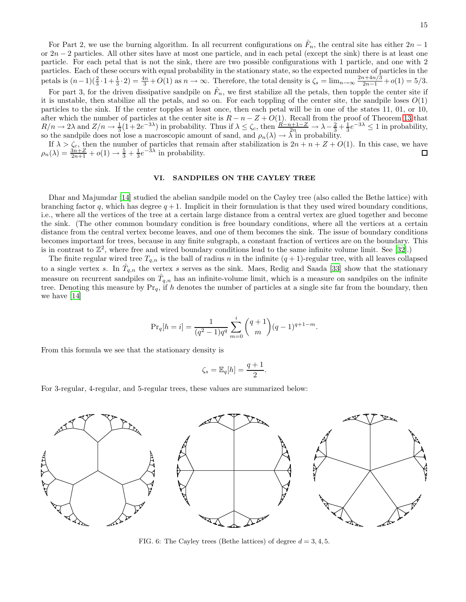For Part 2, we use the burning algorithm. In all recurrent configurations on  $\hat{F}_n$ , the central site has either  $2n-1$ or  $2n-2$  particles. All other sites have at most one particle, and in each petal (except the sink) there is at least one particle. For each petal that is not the sink, there are two possible configurations with 1 particle, and one with 2 particles. Each of these occurs with equal probability in the stationary state, so the expected number of particles in the petals is  $(n-1)(\frac{2}{3}\cdot1+\frac{1}{3}\cdot2)=\frac{4n}{3}+O(1)$  as  $n\to\infty$ . Therefore, the total density is  $\zeta_s=\lim_{n\to\infty}\frac{2n+4n/3}{2n-1}+o(1)=5/3$ .

For part 3, for the driven dissipative sandpile on  $\hat{F}_n$ , we first stabilize all the petals, then topple the center site if it is unstable, then stabilize all the petals, and so on. For each toppling of the center site, the sandpile loses  $O(1)$ particles to the sink. If the center topples at least once, then each petal will be in one of the states 11, 01, or 10, after which the number of particles at the center site is  $R - n - Z + O(1)$ . Recall from the proof of Theorem [13](#page-12-0) that  $R/n \to 2\lambda$  and  $Z/n \to \frac{1}{3}(1+2e^{-3\lambda})$  in probability. Thus if  $\lambda \leq \zeta_c$ , then  $\frac{R-n+1-Z}{2n} \to \lambda - \frac{2}{3} + \frac{1}{3}e^{-3\lambda} \leq 1$  in probability, so the sandpile does not lose a macroscopic amount of sand, and  $\rho_n(\lambda) \to \lambda$  in probability.

If  $\lambda > \zeta_c$ , then the number of particles that remain after stabilization is  $2n + n + Z + O(1)$ . In this case, we have  $\rho_n(\lambda) = \frac{3n+Z}{2n+1} + o(1) \to \frac{5}{3} + \frac{1}{3}e^{-3\lambda}$  in probability.

#### <span id="page-14-0"></span>VI. SANDPILES ON THE CAYLEY TREE

Dhar and Majumdar [\[14\]](#page-19-10) studied the abelian sandpile model on the Cayley tree (also called the Bethe lattice) with branching factor q, which has degree  $q + 1$ . Implicit in their formulation is that they used wired boundary conditions, i.e., where all the vertices of the tree at a certain large distance from a central vertex are glued together and become the sink. (The other common boundary condition is free boundary conditions, where all the vertices at a certain distance from the central vertex become leaves, and one of them becomes the sink. The issue of boundary conditions becomes important for trees, because in any finite subgraph, a constant fraction of vertices are on the boundary. This is in contrast to  $\mathbb{Z}^2$ , where free and wired boundary conditions lead to the same infinite volume limit. See [\[32](#page-19-29)].)

The finite regular wired tree  $T_{q,n}$  is the ball of radius n in the infinite  $(q + 1)$ -regular tree, with all leaves collapsed to a single vertex s. In  $\hat{T}_{q,n}$  the vertex s serves as the sink. Maes, Redig and Saada [\[33](#page-19-30)] show that the stationary measure on recurrent sandpiles on  $\hat{T}_{q,n}$  has an infinite-volume limit, which is a measure on sandpiles on the infinite tree. Denoting this measure by  $Pr_q$ , if h denotes the number of particles at a single site far from the boundary, then we have [\[14\]](#page-19-10)

$$
\Pr_q[h = i] = \frac{1}{(q^2 - 1)q^q} \sum_{m=0}^{i} {q+1 \choose m} (q-1)^{q+1-m}.
$$

From this formula we see that the stationary density is

$$
\zeta_s = \mathbb{E}_q[h] = \frac{q+1}{2}.
$$

For 3-regular, 4-regular, and 5-regular trees, these values are summarized below:



FIG. 6: The Cayley trees (Bethe lattices) of degree  $d = 3, 4, 5$ .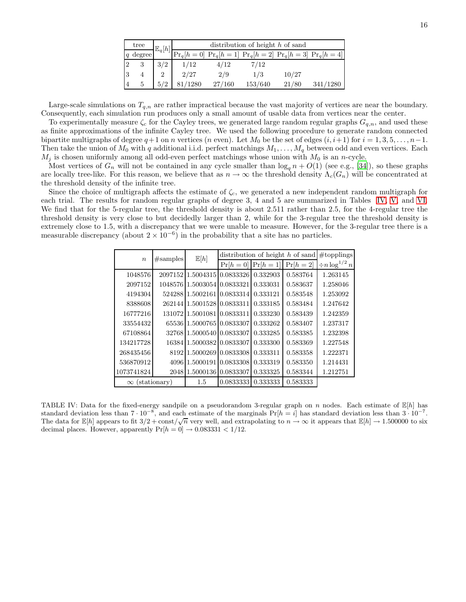| tree   | $\mathbb{E}_q[h]$ |      | distribution of height $h$ of sand |         |       |                                                                  |  |  |  |  |
|--------|-------------------|------|------------------------------------|---------|-------|------------------------------------------------------------------|--|--|--|--|
| degree |                   |      |                                    |         |       | $\Pr_q[h=0]$ $\Pr_q[h=1]$ $\Pr_q[h=2]$ $\Pr_q[h=3]$ $\Pr_q[h=4]$ |  |  |  |  |
| っ      | 3/2               | 1/12 | 4/12                               | 7/12    |       |                                                                  |  |  |  |  |
|        |                   | 2/27 | 2/9                                | 1/3     | 10/27 |                                                                  |  |  |  |  |
| 5      | 5/2               | 1280 | 27/160                             | 153/640 | 21/80 |                                                                  |  |  |  |  |

Large-scale simulations on  $T_{q,n}$  are rather impractical because the vast majority of vertices are near the boundary. Consequently, each simulation run produces only a small amount of usable data from vertices near the center.

To experimentally measure  $\zeta_c$  for the Cayley trees, we generated large random regular graphs  $G_{q,n}$ , and used these as finite approximations of the infinite Cayley tree. We used the following procedure to generate random connected bipartite multigraphs of degree  $q+1$  on n vertices (n even). Let  $M_0$  be the set of edges  $(i, i+1)$  for  $i = 1, 3, 5, \ldots, n-1$ . Then take the union of  $M_0$  with q additional i.i.d. perfect matchings  $M_1, \ldots, M_q$  between odd and even vertices. Each  $M_j$  is chosen uniformly among all odd-even perfect matchings whose union with  $M_0$  is an n-cycle.

Most vertices of  $G_n$  will not be contained in any cycle smaller than  $\log_q n + O(1)$  (see e.g., [\[34\]](#page-19-31)), so these graphs are locally tree-like. For this reason, we believe that as  $n \to \infty$  the threshold density  $\Lambda_c(G_n)$  will be concentrated at the threshold density of the infinite tree.

<span id="page-15-0"></span>Since the choice of multigraph affects the estimate of  $\zeta_c$ , we generated a new independent random multigraph for each trial. The results for random regular graphs of degree 3, 4 and 5 are summarized in Tables [IV,](#page-15-0) [V,](#page-16-0) and [VI.](#page-16-1) We find that for the 5-regular tree, the threshold density is about 2.511 rather than 2.5, for the 4-regular tree the threshold density is very close to but decidedly larger than 2, while for the 3-regular tree the threshold density is extremely close to 1.5, with a discrepancy that we were unable to measure. However, for the 3-regular tree there is a measurable discrepancy (about  $2 \times 10^{-6}$ ) in the probability that a site has no particles.

| $\boldsymbol{n}$ | #samples     | $\mathbb{E}[h]$             | distribution of height $h$ of sand | #topplings |             |                       |
|------------------|--------------|-----------------------------|------------------------------------|------------|-------------|-----------------------|
|                  |              |                             | $Pr[h=0]$                          | $Pr[h=1]$  | $Pr[h = 2]$ | $\div n \log^{1/2} n$ |
| 1048576          |              | 2097152 1.5004315           | 0.0833326                          | 0.332903   | 0.583764    | 1.263145              |
| 2097152          |              | 1048576 1.5003054 0.0833321 |                                    | 0.333031   | 0.583637    | 1.258046              |
| 4194304          |              | 524288 1.5002161 0.0833314  |                                    | 0.333121   | 0.583548    | 1.253092              |
| 8388608          |              | 262144 1.5001528 0.0833311  |                                    | 0.333185   | 0.583484    | 1.247642              |
| 16777216         |              | 13107211.500108110.0833311  |                                    | 0.333230   | 0.583439    | 1.242359              |
| 33554432         |              | 65536 1.5000765 0.0833307   |                                    | 0.333262   | 0.583407    | 1.237317              |
| 67108864         |              | 32768 1.5000540 0.0833307   |                                    | 0.333285   | 0.583385    | 1.232398              |
| 134217728        |              | 16384 1.5000382 0.0833307   |                                    | 0.333300   | 0.583369    | 1.227548              |
| 268435456        |              | 8192 1.5000269 0.0833308    |                                    | 0.333311   | 0.583358    | 1.222371              |
| 536870912        |              | 409611.500019110.0833308    |                                    | 0.333319   | 0.583350    | 1.214431              |
| 1073741824       |              | 2048 1.5000136              | 0.0833307                          | 0.333325   | 0.583344    | 1.212751              |
| $\infty$         | (stationary) | 1.5                         | 0.0833333                          | 0.333333   | 0.583333    |                       |

TABLE IV: Data for the fixed-energy sandpile on a pseudorandom 3-regular graph on n nodes. Each estimate of  $\mathbb{E}[h]$  has standard deviation less than  $7 \cdot 10^{-8}$ , and each estimate of the marginals  $Pr[h = i]$  has standard deviation less than  $3 \cdot 10^{-7}$ . The data for  $\mathbb{E}[h]$  appears to fit  $3/2 + \text{const}/\sqrt{n}$  very well, and extrapolating to  $n \to \infty$  it appears that  $\mathbb{E}[h] \to 1.500000$  to six decimal places. However, apparently  $Pr[h = 0] \rightarrow 0.083331 < 1/12$ .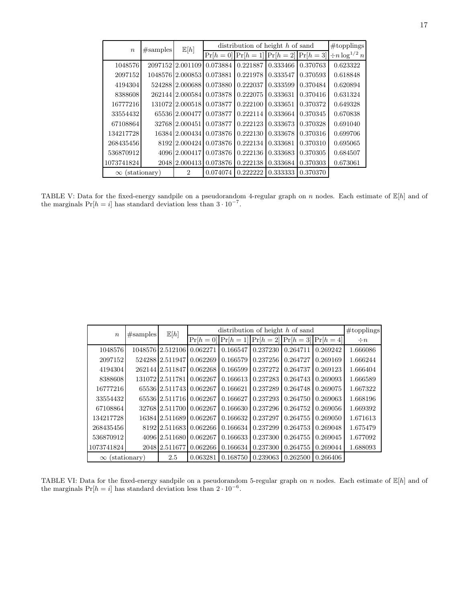<span id="page-16-0"></span>

| $\boldsymbol{n}$      | #samples | $\mathbb{E}[h]$  | distribution of height $h$ of sand | #topplings |             |           |                       |
|-----------------------|----------|------------------|------------------------------------|------------|-------------|-----------|-----------------------|
|                       |          |                  | $Pr[h=0]$                          | $Pr[h=1]$  | $Pr[h = 2]$ | $Pr[h=3]$ | $\div n \log^{1/2} n$ |
| 1048576               |          | 2097152 2.001109 | 0.073884                           | 0.221887   | 0.333466    | 0.370763  | 0.623322              |
| 2097152               |          | 1048576 2.000853 | 0.073881                           | 0.221978   | 0.333547    | 0.370593  | 0.618848              |
| 4194304               |          | 524288 2.000688  | 0.073880                           | 0.222037   | 0.333599    | 0.370484  | 0.620894              |
| 8388608               |          | 262144 2.000584  | 0.073878                           | 0.222075   | 0.333631    | 0.370416  | 0.631324              |
| 16777216              |          | 13107212.0005181 | 0.073877                           | 0.222100   | 0.333651    | 0.370372  | 0.649328              |
| 33554432              |          | 65536 2.000477   | 0.073877                           | 0.222114   | 0.333664    | 0.370345  | 0.670838              |
| 67108864              |          | 32768 2.000451   | 0.073877                           | 0.222123   | 0.333673    | 0.370328  | 0.691040              |
| 134217728             |          | 16384 2.000434   | 0.073876                           | 0.222130   | 0.333678    | 0.370316  | 0.699706              |
| 268435456             |          | 8192 2.000424    | 0.073876                           | 0.222134   | 0.333681    | 0.370310  | 0.695065              |
| 536870912             |          | 4096 2.000417    | 0.073876                           | 0.222136   | 0.333683    | 0.370305  | 0.684507              |
| 1073741824            |          | 2048 2.000413    | 0.073876                           | 0.222138   | 0.333684    | 0.370303  | 0.673061              |
| $\infty$ (stationary) |          | $\overline{2}$   | 0.074074                           | 0.222222   | 0.333333    | 0.370370  |                       |

TABLE V: Data for the fixed-energy sandpile on a pseudorandom 4-regular graph on n nodes. Each estimate of  $\mathbb{E}[h]$  and of the marginals  $Pr[h = i]$  has standard deviation less than  $3 \cdot 10^{-7}$ .

<span id="page-16-1"></span>

| $\boldsymbol{n}$      | #samples | $\mathbb{E}[h]$         | distribution of height $h$ of sand | #topplings                                                  |          |          |          |          |
|-----------------------|----------|-------------------------|------------------------------------|-------------------------------------------------------------|----------|----------|----------|----------|
|                       |          |                         |                                    | $Pr[h = 0]$ $Pr[h = 1]$ $Pr[h = 2]$ $Pr[h = 3]$ $Pr[h = 4]$ |          |          |          | $\div n$ |
| 1048576               |          | 104857612.512106        | 0.062271                           | 0.166547                                                    | 0.237230 | 0.264711 | 0.269242 | 1.666086 |
| 2097152               |          | 524288 2.511947         | 0.062269                           | 0.166579                                                    | 0.237256 | 0.264727 | 0.269169 | 1.666244 |
| 4194304               |          | 262144 2.511847         | 0.062268                           | 0.166599                                                    | 0.237272 | 0.264737 | 0.269123 | 1.666404 |
| 8388608               |          | 131072 2.511781         | 0.062267                           | 0.166613                                                    | 0.237283 | 0.264743 | 0.269093 | 1.666589 |
| 16777216              |          | 6553612.51174310.062267 |                                    | 0.166621                                                    | 0.237289 | 0.264748 | 0.269075 | 1.667322 |
| 33554432              |          | 65536 2.511716          | 0.062267                           | 0.166627                                                    | 0.237293 | 0.264750 | 0.269063 | 1.668196 |
| 67108864              |          | 3276812.5117001         | 0.062267                           | 0.166630                                                    | 0.237296 | 0.264752 | 0.269056 | 1.669392 |
| 134217728             |          | 16384 2.511689          | 0.062267                           | 0.166632                                                    | 0.237297 | 0.264755 | 0.269050 | 1.671613 |
| 268435456             |          | 8192 2.511683 0.062266  |                                    | 0.166634                                                    | 0.237299 | 0.264753 | 0.269048 | 1.675479 |
| 536870912             |          | 4096 2.511680           | 0.062267                           | 0.166633                                                    | 0.237300 | 0.264755 | 0.269045 | 1.677092 |
| 1073741824            |          | 204812.511677           | 0.062266                           | 0.166634                                                    | 0.237300 | 0.264755 | 0.269044 | 1.688093 |
| $\infty$ (stationary) |          | 2.5                     | 0.063281                           | 0.168750                                                    | 0.239063 | 0.262500 | 0.266406 |          |

TABLE VI: Data for the fixed-energy sandpile on a pseudorandom 5-regular graph on  $n$  nodes. Each estimate of  $\mathbb{E}[h]$  and of the marginals  $Pr[h = i]$  has standard deviation less than  $2 \cdot 10^{-6}$ .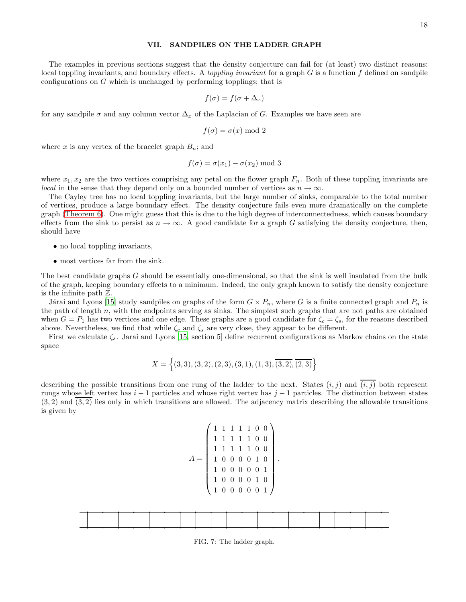#### <span id="page-17-0"></span>VII. SANDPILES ON THE LADDER GRAPH

The examples in previous sections suggest that the density conjecture can fail for (at least) two distinct reasons: local toppling invariants, and boundary effects. A *toppling invariant* for a graph  $G$  is a function  $f$  defined on sandpile configurations on G which is unchanged by performing topplings; that is

$$
f(\sigma) = f(\sigma + \Delta_x)
$$

for any sandpile  $\sigma$  and any column vector  $\Delta_x$  of the Laplacian of G. Examples we have seen are

$$
f(\sigma) = \sigma(x) \bmod 2
$$

where x is any vertex of the bracelet graph  $B_n$ ; and

$$
f(\sigma) = \sigma(x_1) - \sigma(x_2) \bmod 3
$$

where  $x_1, x_2$  are the two vertices comprising any petal on the flower graph  $F_n$ . Both of these toppling invariants are *local* in the sense that they depend only on a bounded number of vertices as  $n \to \infty$ .

The Cayley tree has no local toppling invariants, but the large number of sinks, comparable to the total number of vertices, produce a large boundary effect. The density conjecture fails even more dramatically on the complete graph [\(Theorem 6\)](#page-8-2). One might guess that this is due to the high degree of interconnectedness, which causes boundary effects from the sink to persist as  $n \to \infty$ . A good candidate for a graph G satisfying the density conjecture, then, should have

- no local toppling invariants,
- most vertices far from the sink.

The best candidate graphs G should be essentially one-dimensional, so that the sink is well insulated from the bulk of the graph, keeping boundary effects to a minimum. Indeed, the only graph known to satisfy the density conjecture is the infinite path Z.

Járai and Lyons [\[15](#page-19-11)] study sandpiles on graphs of the form  $G \times P_n$ , where G is a finite connected graph and  $P_n$  is the path of length  $n$ , with the endpoints serving as sinks. The simplest such graphs that are not paths are obtained when  $G = P_1$  has two vertices and one edge. These graphs are a good candidate for  $\zeta_c = \zeta_s$ , for the reasons described above. Nevertheless, we find that while  $\zeta_c$  and  $\zeta_s$  are very close, they appear to be different.

First we calculate  $\zeta_s$ . Jarai and Lyons [\[15,](#page-19-11) section 5] define recurrent configurations as Markov chains on the state space

$$
X = \left\{ (3,3), (3,2), (2,3), (3,1), (1,3), \overline{(3,2)}, \overline{(2,3)} \right\}
$$

describing the possible transitions from one rung of the ladder to the next. States  $(i, j)$  and  $(i, j)$  both represent rungs whose left vertex has  $i - 1$  particles and whose right vertex has  $j - 1$  particles. The distinction between states  $(3, 2)$  and  $(3, 2)$  lies only in which transitions are allowed. The adjacency matrix describing the allowable transitions is given by

$$
A = \begin{pmatrix} 1 & 1 & 1 & 1 & 1 & 0 & 0 \\ 1 & 1 & 1 & 1 & 1 & 0 & 0 \\ 1 & 1 & 1 & 1 & 1 & 0 & 0 \\ 1 & 0 & 0 & 0 & 0 & 1 & 0 \\ 1 & 0 & 0 & 0 & 0 & 0 & 1 \\ 1 & 0 & 0 & 0 & 0 & 1 & 0 \\ 1 & 0 & 0 & 0 & 0 & 0 & 1 \end{pmatrix}
$$

.



FIG. 7: The ladder graph.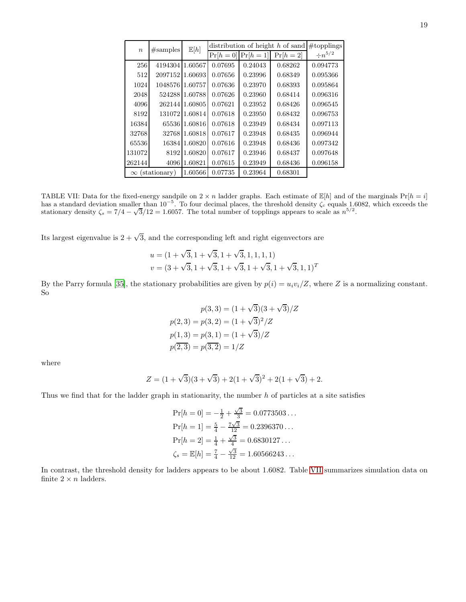<span id="page-18-0"></span>

| $\boldsymbol{n}$ | #samples              | $\mathbb{E}[h]$ |           | distribution of height h of sand |             |                |  |  |
|------------------|-----------------------|-----------------|-----------|----------------------------------|-------------|----------------|--|--|
|                  |                       |                 | $Pr[h=0]$ | $Pr[h=1]$                        | $Pr[h = 2]$ | $\div n^{5/2}$ |  |  |
| 256              | 4194304 1.60567       |                 | 0.07695   | 0.24043                          | 0.68262     | 0.094773       |  |  |
| 512              | 2097152               | 1.60693         | 0.07656   | 0.23996                          | 0.68349     | 0.095366       |  |  |
| 1024             | 1048576               | 1.60757         | 0.07636   | 0.23970                          | 0.68393     | 0.095864       |  |  |
| 2048             | 524288                | 1.60788         | 0.07626   | 0.23960                          | 0.68414     | 0.096316       |  |  |
| 4096             | 262144                | 1.60805         | 0.07621   | 0.23952                          | 0.68426     | 0.096545       |  |  |
| 8192             | 131072                | 1.60814         | 0.07618   | 0.23950                          | 0.68432     | 0.096753       |  |  |
| 16384            | 65536                 | 1.60816         | 0.07618   | 0.23949                          | 0.68434     | 0.097113       |  |  |
| 32768            | 32768                 | 1.60818         | 0.07617   | 0.23948                          | 0.68435     | 0.096944       |  |  |
| 65536            | 16384                 | 1.60820         | 0.07616   | 0.23948                          | 0.68436     | 0.097342       |  |  |
| 131072           | 8192                  | 1.60820         | 0.07617   | 0.23946                          | 0.68437     | 0.097648       |  |  |
| 262144           | 4096                  | 1.60821         | 0.07615   | 0.23949                          | 0.68436     | 0.096158       |  |  |
|                  | $\infty$ (stationary) | 1.60566         | 0.07735   | 0.23964                          | 0.68301     |                |  |  |

TABLE VII: Data for the fixed-energy sandpile on  $2 \times n$  ladder graphs. Each estimate of  $\mathbb{E}[h]$  and of the marginals  $Pr[h = i]$ has a standard deviation smaller than  $10^{-5}$ . To four decimal places, the threshold density  $\zeta_c$  equals 1.6082, which exceeds the stationary density  $\zeta_s = 7/4 - \sqrt{3}/12 = 1.6057$ . The total number of topplings appears to scale as  $n^{5/2}$ .

Its largest eigenvalue is  $2 + \sqrt{3}$ , and the corresponding left and right eigenvectors are

$$
u = (1 + \sqrt{3}, 1 + \sqrt{3}, 1 + \sqrt{3}, 1, 1, 1, 1)
$$
  

$$
v = (3 + \sqrt{3}, 1 + \sqrt{3}, 1 + \sqrt{3}, 1 + \sqrt{3}, 1 + \sqrt{3}, 1, 1)^T
$$

By the Parry formula [\[35\]](#page-19-32), the stationary probabilities are given by  $p(i) = u_i v_i / Z$ , where Z is a normalizing constant. So

$$
p(3,3) = (1 + \sqrt{3})(3 + \sqrt{3})/Z
$$

$$
p(2,3) = p(3,2) = (1 + \sqrt{3})^2/Z
$$

$$
p(1,3) = p(3,1) = (1 + \sqrt{3})/Z
$$

$$
p(2,3) = p(3,2) = 1/Z
$$

where

$$
Z = (1 + \sqrt{3})(3 + \sqrt{3}) + 2(1 + \sqrt{3})^2 + 2(1 + \sqrt{3}) + 2.
$$

Thus we find that for the ladder graph in stationarity, the number  $h$  of particles at a site satisfies

$$
\Pr[h = 0] = -\frac{1}{2} + \frac{\sqrt{3}}{3} = 0.0773503...
$$
  
\n
$$
\Pr[h = 1] = \frac{5}{4} - \frac{7\sqrt{3}}{12} = 0.2396370...
$$
  
\n
$$
\Pr[h = 2] = \frac{1}{4} + \frac{\sqrt{3}}{4} = 0.6830127...
$$
  
\n
$$
\zeta_s = \mathbb{E}[h] = \frac{7}{4} - \frac{\sqrt{3}}{12} = 1.60566243...
$$

In contrast, the threshold density for ladders appears to be about 1.6082. Table [VII](#page-18-0) summarizes simulation data on finite  $2 \times n$  ladders.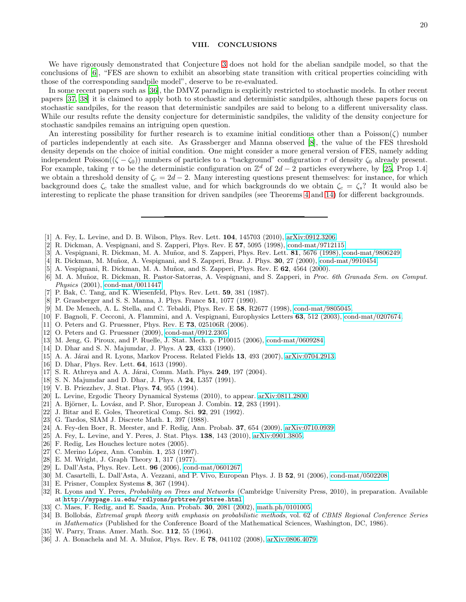#### VIII. CONCLUSIONS

We have rigorously demonstrated that Conjecture [3](#page-4-2) does not hold for the abelian sandpile model, so that the conclusions of [\[6](#page-19-2)], "FES are shown to exhibit an absorbing state transition with critical properties coinciding with those of the corresponding sandpile model", deserve to be re-evaluated.

In some recent papers such as [\[36\]](#page-19-33), the DMVZ paradigm is explicitly restricted to stochastic models. In other recent papers [\[37,](#page-20-0) [38](#page-20-1)] it is claimed to apply both to stochastic and deterministic sandpiles, although these papers focus on stochastic sandpiles, for the reason that deterministic sandpiles are said to belong to a different universality class. While our results refute the density conjecture for deterministic sandpiles, the validity of the density conjecture for stochastic sandpiles remains an intriguing open question.

An interesting possibility for further research is to examine initial conditions other than a Poisson( $\zeta$ ) number of particles independently at each site. As Grassberger and Manna observed [\[8](#page-19-4)], the value of the FES threshold density depends on the choice of initial condition. One might consider a more general version of FES, namely adding independent Poisson(( $\zeta - \zeta_0$ )) numbers of particles to a "background" configuration  $\tau$  of density  $\zeta_0$  already present. For example, taking  $\tau$  to be the deterministic configuration on  $\mathbb{Z}^d$  of  $2d-2$  particles everywhere, by [\[25](#page-19-20), Prop 1.4] we obtain a threshold density of  $\zeta_c = 2d - 2$ . Many interesting questions present themselves: for instance, for which background does  $\zeta_c$  take the smallest value, and for which backgrounds do we obtain  $\zeta_c = \zeta_s$ ? It would also be interesting to replicate the phase transition for driven sandpiles (see Theorems [4](#page-5-0) and [14\)](#page-13-0) for different backgrounds.

- <span id="page-19-0"></span>[1] A. Fey, L. Levine, and D. B. Wilson, Phys. Rev. Lett. 104, 145703 (2010), [arXiv:0912.3206.](http://arxiv.org/abs/0912.3206)
- <span id="page-19-1"></span>[2] R. Dickman, A. Vespignani, and S. Zapperi, Phys. Rev. E 57, 5095 (1998), [cond-mat/9712115.](http://arxiv.org/abs/cond-mat/9712115)
- <span id="page-19-22"></span>[3] A. Vespignani, R. Dickman, M. A. Muñoz, and S. Zapperi, Phys. Rev. Lett.  $81$ , 5676 (1998), [cond-mat/9806249.](http://arxiv.org/abs/cond-mat/9806249)
- [4] R. Dickman, M. Muñoz, A. Vespignani, and S. Zapperi, Braz. J. Phys. 30, 27 (2000), [cond-mat/9910454.](http://arxiv.org/abs/cond-mat/9910454)
- <span id="page-19-21"></span>[5] A. Vespignani, R. Dickman, M. A. Muñoz, and S. Zapperi, Phys. Rev. E  $62$ ,  $4564$  (2000).
- <span id="page-19-2"></span>[6] M. A. Muñoz, R. Dickman, R. Pastor-Satorras, A. Vespignani, and S. Zapperi, in Proc. 6th Granada Sem. on Comput. Physics (2001), [cond-mat/0011447.](http://arxiv.org/abs/cond-mat/0011447)
- <span id="page-19-3"></span>[7] P. Bak, C. Tang, and K. Wiesenfeld, Phys. Rev. Lett. 59, 381 (1987).
- <span id="page-19-4"></span>[8] P. Grassberger and S. S. Manna, J. Phys. France 51, 1077 (1990).
- <span id="page-19-5"></span>[9] M. De Menech, A. L. Stella, and C. Tebaldi, Phys. Rev. E 58, R2677 (1998), [cond-mat/9805045.](http://arxiv.org/abs/cond-mat/9805045)
- <span id="page-19-6"></span>[10] F. Bagnoli, F. Cecconi, A. Flammini, and A. Vespignani, Europhysics Letters 63, 512 (2003), [cond-mat/0207674.](http://arxiv.org/abs/cond-mat/0207674)
- <span id="page-19-7"></span>[11] O. Peters and G. Pruessner, Phys. Rev. E **73**, 025106R (2006).
- <span id="page-19-8"></span>[12] O. Peters and G. Pruessner (2009), [cond-mat/0912.2305.](http://arxiv.org/abs/cond-mat/0912.2305)
- <span id="page-19-9"></span>[13] M. Jeng, G. Piroux, and P. Ruelle, J. Stat. Mech. p. P10015 (2006), [cond-mat/0609284.](http://arxiv.org/abs/cond-mat/0609284)
- <span id="page-19-10"></span>[14] D. Dhar and S. N. Majumdar, J. Phys. A **23**, 4333 (1990).
- <span id="page-19-11"></span>[15] A. A. Járai and R. Lyons, Markov Process. Related Fields 13, 493 (2007), [arXiv:0704.2913.](http://arxiv.org/abs/0704.2913)
- <span id="page-19-12"></span>[16] D. Dhar, Phys. Rev. Lett. 64, 1613 (1990).
- <span id="page-19-13"></span>[17] S. R. Athreya and A. A. Járai, Comm. Math. Phys. 249, 197 (2004).
- <span id="page-19-14"></span>[18] S. N. Majumdar and D. Dhar, J. Phys. A 24, L357 (1991).
- <span id="page-19-15"></span>[19] V. B. Priezzhev, J. Stat. Phys. 74, 955 (1994).
- <span id="page-19-16"></span>[20] L. Levine, Ergodic Theory Dynamical Systems (2010), to appear. [arXiv:0811.2800.](http://arxiv.org/abs/0811.2800)
- $[21]$  A. Björner, L. Lovász, and P. Shor, European J. Combin. **12**, 283 (1991).
- <span id="page-19-17"></span>[22] J. Bitar and E. Goles, Theoretical Comp. Sci. 92, 291 (1992).
- <span id="page-19-18"></span>[23] G. Tardos, SIAM J. Discrete Math. 1, 397 (1988).
- <span id="page-19-19"></span>[24] A. Fey-den Boer, R. Meester, and F. Redig, Ann. Probab. 37, 654 (2009), [arXiv:0710.0939.](http://arxiv.org/abs/0710.0939)
- <span id="page-19-20"></span>[25] A. Fey, L. Levine, and Y. Peres, J. Stat. Phys. 138, 143 (2010), [arXiv:0901.3805.](http://arxiv.org/abs/0901.3805)
- <span id="page-19-23"></span>[26] F. Redig, Les Houches lecture notes (2005).
- <span id="page-19-24"></span>[27] C. Merino López, Ann. Combin. 1, 253 (1997).
- <span id="page-19-25"></span>[28] E. M. Wright, J. Graph Theory 1, 317 (1977).
- <span id="page-19-26"></span>[29] L. Dall'Asta, Phys. Rev. Lett. 96 (2006), [cond-mat/0601267.](http://arxiv.org/abs/cond-mat/0601267)
- <span id="page-19-27"></span>[30] M. Casartelli, L. Dall'Asta, A. Vezzani, and P. Vivo, European Phys. J. B 52, 91 (2006), [cond-mat/0502208.](http://arxiv.org/abs/cond-mat/0502208)
- <span id="page-19-28"></span>[31] E. Prisner, Complex Systems 8, 367 (1994).
- <span id="page-19-29"></span>[32] R. Lyons and Y. Peres, *Probability on Trees and Networks* (Cambridge University Press, 2010), in preparation. Available at <http://mypage.iu.edu/~rdlyons/prbtree/prbtree.html>.
- <span id="page-19-30"></span>[33] C. Maes, F. Redig, and E. Saada, Ann. Probab. 30, 2081 (2002), [math.ph/0101005.](http://arxiv.org/abs/math.ph/0101005)
- <span id="page-19-31"></span>[34] B. Bollobás, *Extremal graph theory with emphasis on probabilistic methods*, vol. 62 of *CBMS Regional Conference Series* in Mathematics (Published for the Conference Board of the Mathematical Sciences, Washington, DC, 1986).
- <span id="page-19-32"></span>[35] W. Parry, Trans. Amer. Math. Soc. 112, 55 (1964).
- <span id="page-19-33"></span>[36] J. A. Bonachela and M. A. Muñoz, Phys. Rev. E 78, 041102 (2008), [arXiv:0806.4079.](http://arxiv.org/abs/0806.4079)